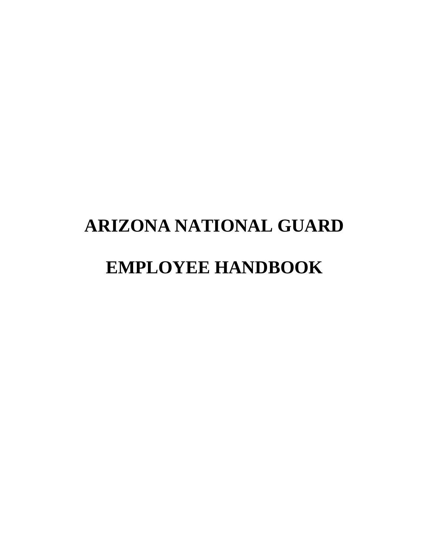# **ARIZONA NATIONAL GUARD EMPLOYEE HANDBOOK**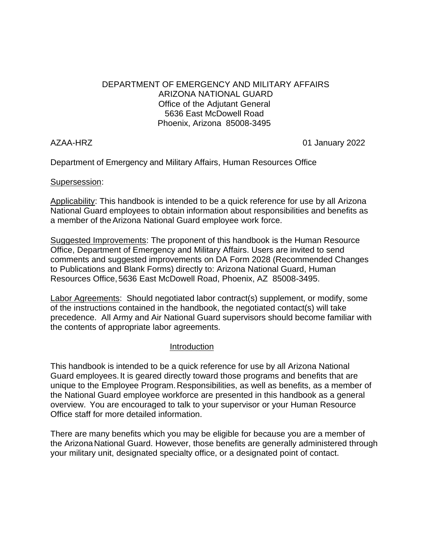#### DEPARTMENT OF EMERGENCY AND MILITARY AFFAIRS ARIZONA NATIONAL GUARD Office of the Adjutant General 5636 East McDowell Road Phoenix, Arizona 85008-3495

AZAA-HRZ 01 January 2022

Department of Emergency and Military Affairs, Human Resources Office

#### Supersession:

Applicability: This handbook is intended to be a quick reference for use by all Arizona National Guard employees to obtain information about responsibilities and benefits as a member of theArizona National Guard employee work force.

Suggested Improvements: The proponent of this handbook is the Human Resource Office, Department of Emergency and Military Affairs. Users are invited to send comments and suggested improvements on DA Form 2028 (Recommended Changes to Publications and Blank Forms) directly to: Arizona National Guard, Human Resources Office,5636 East McDowell Road, Phoenix, AZ 85008-3495.

Labor Agreements: Should negotiated labor contract(s) supplement, or modify, some of the instructions contained in the handbook, the negotiated contact(s) will take precedence. All Army and Air National Guard supervisors should become familiar with the contents of appropriate labor agreements.

#### Introduction

This handbook is intended to be a quick reference for use by all Arizona National Guard employees.It is geared directly toward those programs and benefits that are unique to the Employee Program.Responsibilities, as well as benefits, as a member of the National Guard employee workforce are presented in this handbook as a general overview. You are encouraged to talk to your supervisor or your Human Resource Office staff for more detailed information.

There are many benefits which you may be eligible for because you are a member of the ArizonaNational Guard. However, those benefits are generally administered through your military unit, designated specialty office, or a designated point of contact.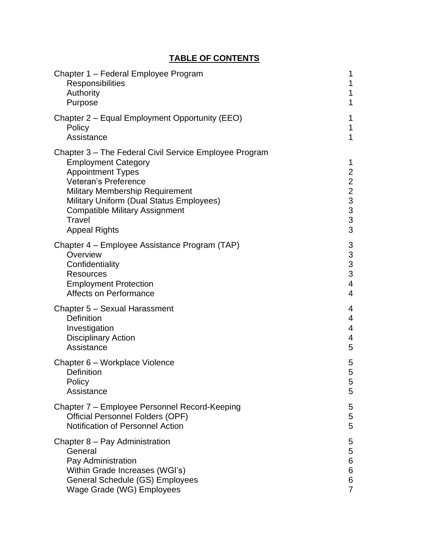# **TABLE OF CONTENTS**

| Chapter 1 - Federal Employee Program                                                                                                                                                                                                                                                                             | 1                                                                                |
|------------------------------------------------------------------------------------------------------------------------------------------------------------------------------------------------------------------------------------------------------------------------------------------------------------------|----------------------------------------------------------------------------------|
| <b>Responsibilities</b>                                                                                                                                                                                                                                                                                          | 1                                                                                |
| Authority                                                                                                                                                                                                                                                                                                        | 1                                                                                |
| Purpose                                                                                                                                                                                                                                                                                                          | 1                                                                                |
| Chapter 2 – Equal Employment Opportunity (EEO)                                                                                                                                                                                                                                                                   | 1                                                                                |
| Policy                                                                                                                                                                                                                                                                                                           | 1                                                                                |
| Assistance                                                                                                                                                                                                                                                                                                       | 1                                                                                |
| Chapter 3 – The Federal Civil Service Employee Program<br><b>Employment Category</b><br><b>Appointment Types</b><br><b>Veteran's Preference</b><br><b>Military Membership Requirement</b><br>Military Uniform (Dual Status Employees)<br><b>Compatible Military Assignment</b><br>Travel<br><b>Appeal Rights</b> | 1<br>$\overline{2}$<br>$\begin{array}{c} 2 \\ 2 \\ 3 \\ 3 \end{array}$<br>3<br>3 |
| Chapter 4 – Employee Assistance Program (TAP)                                                                                                                                                                                                                                                                    | 3                                                                                |
| Overview                                                                                                                                                                                                                                                                                                         | $\mathfrak{S}$                                                                   |
| Confidentiality                                                                                                                                                                                                                                                                                                  | 3                                                                                |
| Resources                                                                                                                                                                                                                                                                                                        | 3                                                                                |
| <b>Employment Protection</b>                                                                                                                                                                                                                                                                                     | 4                                                                                |
| Affects on Performance                                                                                                                                                                                                                                                                                           | $\overline{4}$                                                                   |
| Chapter 5 - Sexual Harassment                                                                                                                                                                                                                                                                                    | 4                                                                                |
| <b>Definition</b>                                                                                                                                                                                                                                                                                                | 4                                                                                |
| Investigation                                                                                                                                                                                                                                                                                                    | 4                                                                                |
| <b>Disciplinary Action</b>                                                                                                                                                                                                                                                                                       | 4                                                                                |
| Assistance                                                                                                                                                                                                                                                                                                       | 5                                                                                |
| Chapter 6 – Workplace Violence                                                                                                                                                                                                                                                                                   | 5                                                                                |
| Definition                                                                                                                                                                                                                                                                                                       | 5                                                                                |
| Policy                                                                                                                                                                                                                                                                                                           | 5                                                                                |
| Assistance                                                                                                                                                                                                                                                                                                       | 5                                                                                |
| Chapter 7 – Employee Personnel Record-Keeping                                                                                                                                                                                                                                                                    | 5                                                                                |
| <b>Official Personnel Folders (OPF)</b>                                                                                                                                                                                                                                                                          | 5                                                                                |
| <b>Notification of Personnel Action</b>                                                                                                                                                                                                                                                                          | 5                                                                                |
| Chapter 8 – Pay Administration                                                                                                                                                                                                                                                                                   | 5                                                                                |
| General                                                                                                                                                                                                                                                                                                          | 5                                                                                |
| Pay Administration                                                                                                                                                                                                                                                                                               | 6                                                                                |
| Within Grade Increases (WGI's)                                                                                                                                                                                                                                                                                   | 6                                                                                |
| General Schedule (GS) Employees                                                                                                                                                                                                                                                                                  | 6                                                                                |
| Wage Grade (WG) Employees                                                                                                                                                                                                                                                                                        | $\overline{7}$                                                                   |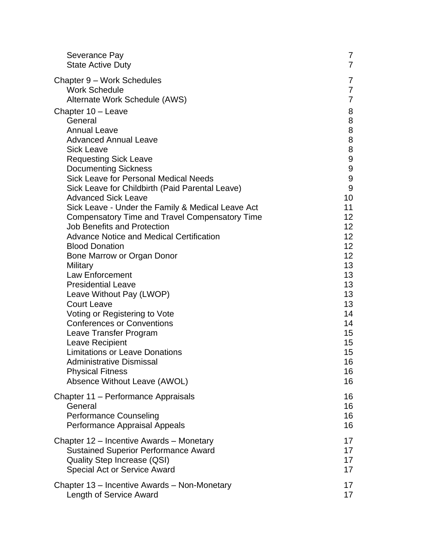| Severance Pay                                     | 7                |
|---------------------------------------------------|------------------|
| <b>State Active Duty</b>                          | 7                |
| Chapter 9 - Work Schedules                        | 7                |
| <b>Work Schedule</b>                              | 7                |
| Alternate Work Schedule (AWS)                     | $\overline{7}$   |
| Chapter 10 - Leave                                | 8                |
| General                                           | 8                |
| <b>Annual Leave</b>                               | 8                |
| <b>Advanced Annual Leave</b>                      | 8                |
| <b>Sick Leave</b>                                 | 8                |
| <b>Requesting Sick Leave</b>                      | 9                |
| <b>Documenting Sickness</b>                       | 9                |
| <b>Sick Leave for Personal Medical Needs</b>      | $\boldsymbol{9}$ |
| Sick Leave for Childbirth (Paid Parental Leave)   | 9                |
| <b>Advanced Sick Leave</b>                        | 10               |
| Sick Leave - Under the Family & Medical Leave Act | 11               |
| Compensatory Time and Travel Compensatory Time    | 12 <sub>2</sub>  |
| <b>Job Benefits and Protection</b>                | 12 <sub>2</sub>  |
| <b>Advance Notice and Medical Certification</b>   | 12 <sub>2</sub>  |
| <b>Blood Donation</b>                             | 12 <sup>2</sup>  |
| Bone Marrow or Organ Donor                        | 12 <sup>2</sup>  |
| Military                                          | 13               |
| <b>Law Enforcement</b>                            | 13               |
| <b>Presidential Leave</b>                         | 13               |
| Leave Without Pay (LWOP)                          | 13               |
| <b>Court Leave</b>                                | 13               |
| Voting or Registering to Vote                     | 14               |
| <b>Conferences or Conventions</b>                 | 14               |
| Leave Transfer Program                            | 15 <sub>2</sub>  |
| Leave Recipient                                   | 15 <sub>1</sub>  |
| <b>Limitations or Leave Donations</b>             | 15 <sub>2</sub>  |
| Administrative Dismissal                          | 16               |
| <b>Physical Fitness</b>                           | 16               |
| Absence Without Leave (AWOL)                      | 16               |
| Chapter 11 – Performance Appraisals               | 16               |
| General                                           | 16               |
| <b>Performance Counseling</b>                     | 16               |
| Performance Appraisal Appeals                     | 16               |
| Chapter 12 – Incentive Awards – Monetary          | 17               |
| <b>Sustained Superior Performance Award</b>       | 17               |
| <b>Quality Step Increase (QSI)</b>                | 17               |
| <b>Special Act or Service Award</b>               | 17               |
| Chapter 13 – Incentive Awards – Non-Monetary      | 17               |
| Length of Service Award                           | 17               |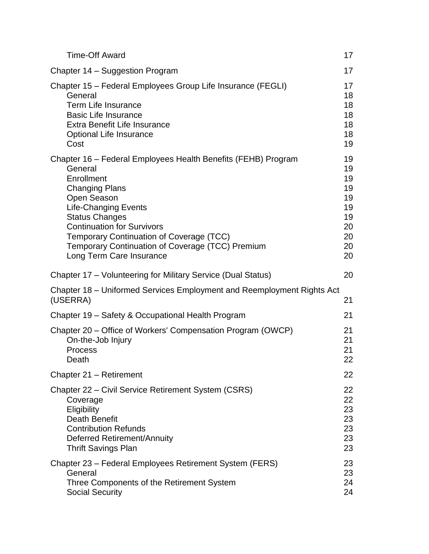| <b>Time-Off Award</b>                                                                                                                                                                                                                                                                                                                                   | $17 \,$                                                        |
|---------------------------------------------------------------------------------------------------------------------------------------------------------------------------------------------------------------------------------------------------------------------------------------------------------------------------------------------------------|----------------------------------------------------------------|
| Chapter 14 – Suggestion Program                                                                                                                                                                                                                                                                                                                         | 17                                                             |
| Chapter 15 – Federal Employees Group Life Insurance (FEGLI)<br>General<br>Term Life Insurance<br><b>Basic Life Insurance</b><br>Extra Benefit Life Insurance<br><b>Optional Life Insurance</b><br>Cost                                                                                                                                                  | 17<br>18<br>18<br>18<br>18<br>18<br>19                         |
| Chapter 16 - Federal Employees Health Benefits (FEHB) Program<br>General<br>Enrollment<br><b>Changing Plans</b><br>Open Season<br><b>Life-Changing Events</b><br><b>Status Changes</b><br><b>Continuation for Survivors</b><br>Temporary Continuation of Coverage (TCC)<br>Temporary Continuation of Coverage (TCC) Premium<br>Long Term Care Insurance | 19<br>19<br>19<br>19<br>19<br>19<br>19<br>20<br>20<br>20<br>20 |
| Chapter 17 – Volunteering for Military Service (Dual Status)                                                                                                                                                                                                                                                                                            | 20                                                             |
| Chapter 18 – Uniformed Services Employment and Reemployment Rights Act<br>(USERRA)                                                                                                                                                                                                                                                                      | 21                                                             |
| Chapter 19 - Safety & Occupational Health Program                                                                                                                                                                                                                                                                                                       | 21                                                             |
| Chapter 20 – Office of Workers' Compensation Program (OWCP)<br>On-the-Job Injury<br>Process<br>Death                                                                                                                                                                                                                                                    | 21<br>21<br>21<br>22                                           |
| Chapter 21 - Retirement                                                                                                                                                                                                                                                                                                                                 | 22                                                             |
| Chapter 22 – Civil Service Retirement System (CSRS)<br>Coverage<br>Eligibility<br><b>Death Benefit</b><br><b>Contribution Refunds</b><br>Deferred Retirement/Annuity<br><b>Thrift Savings Plan</b>                                                                                                                                                      | 22<br>22<br>23<br>23<br>23<br>23<br>23                         |
| Chapter 23 – Federal Employees Retirement System (FERS)<br>General<br>Three Components of the Retirement System<br><b>Social Security</b>                                                                                                                                                                                                               | 23<br>23<br>24<br>24                                           |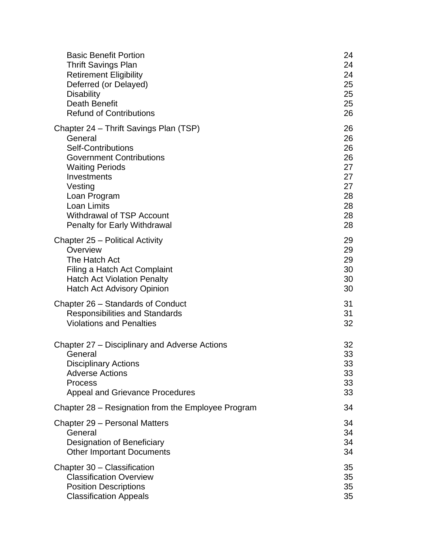| <b>Basic Benefit Portion</b>                       | 24 |
|----------------------------------------------------|----|
| <b>Thrift Savings Plan</b>                         | 24 |
| <b>Retirement Eligibility</b>                      | 24 |
| Deferred (or Delayed)                              | 25 |
| <b>Disability</b>                                  | 25 |
| <b>Death Benefit</b>                               | 25 |
| <b>Refund of Contributions</b>                     | 26 |
| Chapter 24 – Thrift Savings Plan (TSP)             | 26 |
| General                                            | 26 |
| <b>Self-Contributions</b>                          | 26 |
| <b>Government Contributions</b>                    | 26 |
| <b>Waiting Periods</b>                             | 27 |
| Investments                                        | 27 |
| Vesting                                            | 27 |
| Loan Program                                       | 28 |
| Loan Limits                                        | 28 |
| <b>Withdrawal of TSP Account</b>                   | 28 |
| <b>Penalty for Early Withdrawal</b>                | 28 |
| Chapter 25 - Political Activity                    | 29 |
| Overview                                           | 29 |
| The Hatch Act                                      | 29 |
| Filing a Hatch Act Complaint                       | 30 |
| <b>Hatch Act Violation Penalty</b>                 | 30 |
| Hatch Act Advisory Opinion                         | 30 |
| Chapter 26 – Standards of Conduct                  | 31 |
| <b>Responsibilities and Standards</b>              | 31 |
| <b>Violations and Penalties</b>                    | 32 |
| Chapter 27 – Disciplinary and Adverse Actions      | 32 |
| General                                            | 33 |
| <b>Disciplinary Actions</b>                        | 33 |
| <b>Adverse Actions</b>                             | 33 |
| <b>Process</b>                                     | 33 |
| <b>Appeal and Grievance Procedures</b>             | 33 |
| Chapter 28 – Resignation from the Employee Program | 34 |
| Chapter 29 – Personal Matters                      | 34 |
| General                                            | 34 |
| Designation of Beneficiary                         | 34 |
| <b>Other Important Documents</b>                   | 34 |
| Chapter 30 - Classification                        | 35 |
| <b>Classification Overview</b>                     | 35 |
| <b>Position Descriptions</b>                       | 35 |
| <b>Classification Appeals</b>                      | 35 |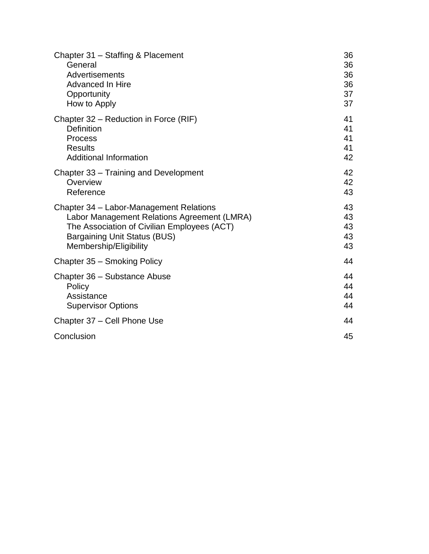| Chapter 31 - Staffing & Placement           | 36 |
|---------------------------------------------|----|
| General                                     | 36 |
| Advertisements                              | 36 |
| <b>Advanced In Hire</b>                     | 36 |
| Opportunity                                 | 37 |
| How to Apply                                | 37 |
| Chapter 32 – Reduction in Force (RIF)       | 41 |
| Definition                                  | 41 |
| <b>Process</b>                              | 41 |
| <b>Results</b>                              | 41 |
| <b>Additional Information</b>               | 42 |
| Chapter 33 – Training and Development       | 42 |
| Overview                                    | 42 |
| Reference                                   | 43 |
| Chapter 34 - Labor-Management Relations     | 43 |
| Labor Management Relations Agreement (LMRA) | 43 |
| The Association of Civilian Employees (ACT) | 43 |
| <b>Bargaining Unit Status (BUS)</b>         | 43 |
| Membership/Eligibility                      | 43 |
| Chapter 35 - Smoking Policy                 | 44 |
| Chapter 36 - Substance Abuse                | 44 |
| Policy                                      | 44 |
| Assistance                                  | 44 |
| <b>Supervisor Options</b>                   | 44 |
| Chapter 37 - Cell Phone Use                 | 44 |
| Conclusion                                  | 45 |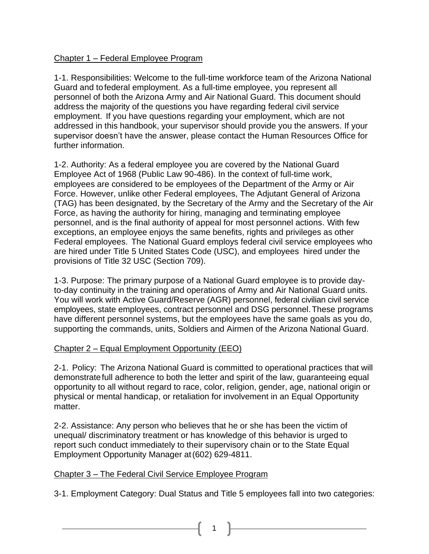# Chapter 1 – Federal Employee Program

1-1. Responsibilities: Welcome to the full-time workforce team of the Arizona National Guard and tofederal employment. As a full-time employee, you represent all personnel of both the Arizona Army and Air National Guard. This document should address the majority of the questions you have regarding federal civil service employment. If you have questions regarding your employment, which are not addressed in this handbook, your supervisor should provide you the answers. If your supervisor doesn't have the answer, please contact the Human Resources Office for further information.

1-2. Authority: As a federal employee you are covered by the National Guard Employee Act of 1968 (Public Law 90-486). In the context of full-time work, employees are considered to be employees of the Department of the Army or Air Force. However, unlike other Federal employees, The Adjutant General of Arizona (TAG) has been designated, by the Secretary of the Army and the Secretary of the Air Force, as having the authority for hiring, managing and terminating employee personnel, and is the final authority of appeal for most personnel actions. With few exceptions, an employee enjoys the same benefits, rights and privileges as other Federal employees. The National Guard employs federal civil service employees who are hired under Title 5 United States Code (USC), and employees hired under the provisions of Title 32 USC (Section 709).

1-3. Purpose: The primary purpose of a National Guard employee is to provide dayto-day continuity in the training and operations of Army and Air National Guard units. You will work with Active Guard/Reserve (AGR) personnel, federal civilian civil service employees, state employees, contract personnel and DSG personnel.These programs have different personnel systems, but the employees have the same goals as you do, supporting the commands, units, Soldiers and Airmen of the Arizona National Guard.

#### Chapter 2 – Equal Employment Opportunity (EEO)

2-1. Policy: The Arizona National Guard is committed to operational practices that will demonstratefull adherence to both the letter and spirit of the law, guaranteeing equal opportunity to all without regard to race, color, religion, gender, age, national origin or physical or mental handicap, or retaliation for involvement in an Equal Opportunity matter.

2-2. Assistance: Any person who believes that he or she has been the victim of unequal/ discriminatory treatment or has knowledge of this behavior is urged to report such conduct immediately to their supervisory chain or to the State Equal Employment Opportunity Manager at(602) 629-4811.

#### Chapter 3 – The Federal Civil Service Employee Program

3-1. Employment Category: Dual Status and Title 5 employees fall into two categories: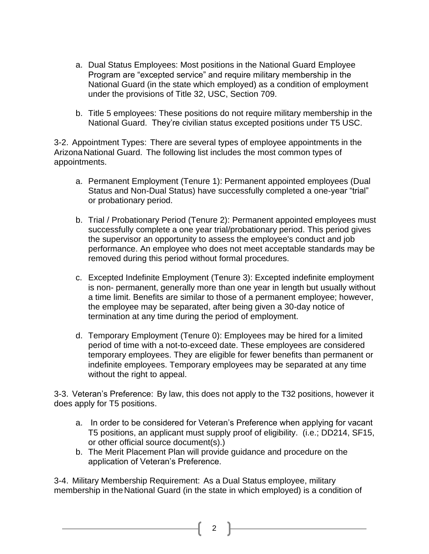- a. Dual Status Employees: Most positions in the National Guard Employee Program are "excepted service" and require military membership in the National Guard (in the state which employed) as a condition of employment under the provisions of Title 32, USC, Section 709.
- b. Title 5 employees: These positions do not require military membership in the National Guard. They're civilian status excepted positions under T5 USC.

3-2. Appointment Types: There are several types of employee appointments in the ArizonaNational Guard. The following list includes the most common types of appointments.

- a. Permanent Employment (Tenure 1): Permanent appointed employees (Dual Status and Non-Dual Status) have successfully completed a one-year "trial" or probationary period.
- b. Trial / Probationary Period (Tenure 2): Permanent appointed employees must successfully complete a one year trial/probationary period. This period gives the supervisor an opportunity to assess the employee's conduct and job performance. An employee who does not meet acceptable standards may be removed during this period without formal procedures.
- c. Excepted Indefinite Employment (Tenure 3): Excepted indefinite employment is non- permanent, generally more than one year in length but usually without a time limit. Benefits are similar to those of a permanent employee; however, the employee may be separated, after being given a 30-day notice of termination at any time during the period of employment.
- d. Temporary Employment (Tenure 0): Employees may be hired for a limited period of time with a not-to-exceed date. These employees are considered temporary employees. They are eligible for fewer benefits than permanent or indefinite employees. Temporary employees may be separated at any time without the right to appeal.

3-3. Veteran's Preference: By law, this does not apply to the T32 positions, however it does apply for T5 positions.

- a. In order to be considered for Veteran's Preference when applying for vacant T5 positions, an applicant must supply proof of eligibility. (i.e.; DD214, SF15, or other official source document(s).)
- b. The Merit Placement Plan will provide guidance and procedure on the application of Veteran's Preference.

3-4. Military Membership Requirement: As a Dual Status employee, military membership in theNational Guard (in the state in which employed) is a condition of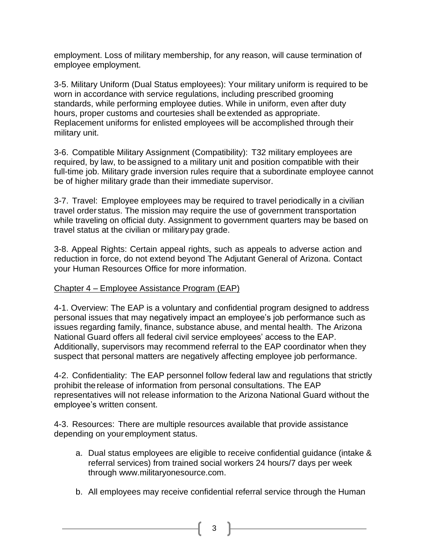employment. Loss of military membership, for any reason, will cause termination of employee employment.

3-5. Military Uniform (Dual Status employees): Your military uniform is required to be worn in accordance with service regulations, including prescribed grooming standards, while performing employee duties. While in uniform, even after duty hours, proper customs and courtesies shall be extended as appropriate. Replacement uniforms for enlisted employees will be accomplished through their military unit.

3-6. Compatible Military Assignment (Compatibility): T32 military employees are required, by law, to be assigned to a military unit and position compatible with their full-time job. Military grade inversion rules require that a subordinate employee cannot be of higher military grade than their immediate supervisor.

3-7. Travel: Employee employees may be required to travel periodically in a civilian travel order status. The mission may require the use of government transportation while traveling on official duty. Assignment to government quarters may be based on travel status at the civilian or military pay grade.

3-8. Appeal Rights: Certain appeal rights, such as appeals to adverse action and reduction in force, do not extend beyond The Adjutant General of Arizona. Contact your Human Resources Office for more information.

# Chapter 4 – Employee Assistance Program (EAP)

4-1. Overview: The EAP is a voluntary and confidential program designed to address personal issues that may negatively impact an employee's job performance such as issues regarding family, finance, substance abuse, and mental health. The Arizona National Guard offers all federal civil service employees' access to the EAP. Additionally, supervisors may recommend referral to the EAP coordinator when they suspect that personal matters are negatively affecting employee job performance.

4-2. Confidentiality: The EAP personnel follow federal law and regulations that strictly prohibit therelease of information from personal consultations. The EAP representatives will not release information to the Arizona National Guard without the employee's written consent.

4-3. Resources: There are multiple resources available that provide assistance depending on youremployment status.

- a. Dual status employees are eligible to receive confidential guidance (intake & referral services) from trained social workers 24 hours/7 days per week through [www.militaryonesource.com.](http://www.militaryonesource.com/)
- b. All employees may receive confidential referral service through the Human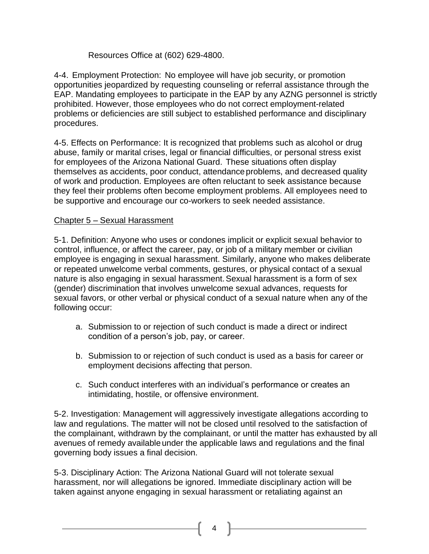# Resources Office at (602) 629-4800.

4-4. Employment Protection: No employee will have job security, or promotion opportunities jeopardized by requesting counseling or referral assistance through the EAP. Mandating employees to participate in the EAP by any AZNG personnel is strictly prohibited. However, those employees who do not correct employment-related problems or deficiencies are still subject to established performance and disciplinary procedures.

4-5. Effects on Performance: It is recognized that problems such as alcohol or drug abuse, family or marital crises, legal or financial difficulties, or personal stress exist for employees of the Arizona National Guard. These situations often display themselves as accidents, poor conduct, attendance problems, and decreased quality of work and production. Employees are often reluctant to seek assistance because they feel their problems often become employment problems. All employees need to be supportive and encourage our co-workers to seek needed assistance.

# Chapter 5 – Sexual Harassment

5-1. Definition: Anyone who uses or condones implicit or explicit sexual behavior to control, influence, or affect the career, pay, or job of a military member or civilian employee is engaging in sexual harassment. Similarly, anyone who makes deliberate or repeated unwelcome verbal comments, gestures, or physical contact of a sexual nature is also engaging in sexual harassment.Sexual harassment is a form of sex (gender) discrimination that involves unwelcome sexual advances, requests for sexual favors, or other verbal or physical conduct of a sexual nature when any of the following occur:

- a. Submission to or rejection of such conduct is made a direct or indirect condition of a person's job, pay, or career.
- b. Submission to or rejection of such conduct is used as a basis for career or employment decisions affecting that person.
- c. Such conduct interferes with an individual's performance or creates an intimidating, hostile, or offensive environment.

5-2. Investigation: Management will aggressively investigate allegations according to law and regulations. The matter will not be closed until resolved to the satisfaction of the complainant, withdrawn by the complainant, or until the matter has exhausted by all avenues of remedy available under the applicable laws and regulations and the final governing body issues a final decision.

5-3. Disciplinary Action: The Arizona National Guard will not tolerate sexual harassment, nor will allegations be ignored. Immediate disciplinary action will be taken against anyone engaging in sexual harassment or retaliating against an

<sup>4</sup>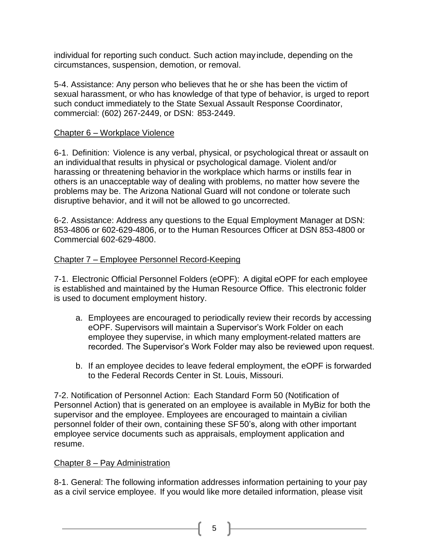individual for reporting such conduct. Such action may include, depending on the circumstances, suspension, demotion, or removal.

5-4. Assistance: Any person who believes that he or she has been the victim of sexual harassment, or who has knowledge of that type of behavior, is urged to report such conduct immediately to the State Sexual Assault Response Coordinator, commercial: (602) 267-2449, or DSN: 853-2449.

# Chapter 6 – Workplace Violence

6-1. Definition: Violence is any verbal, physical, or psychological threat or assault on an individualthat results in physical or psychological damage. Violent and/or harassing or threatening behaviorin the workplace which harms or instills fear in others is an unacceptable way of dealing with problems, no matter how severe the problems may be. The Arizona National Guard will not condone or tolerate such disruptive behavior, and it will not be allowed to go uncorrected.

6-2. Assistance: Address any questions to the Equal Employment Manager at DSN: 853-4806 or 602-629-4806, or to the Human Resources Officer at DSN 853-4800 or Commercial 602-629-4800.

# Chapter 7 – Employee Personnel Record-Keeping

7-1. Electronic Official Personnel Folders (eOPF): A digital eOPF for each employee is established and maintained by the Human Resource Office. This electronic folder is used to document employment history.

- a. Employees are encouraged to periodically review their records by accessing eOPF. Supervisors will maintain a Supervisor's Work Folder on each employee they supervise, in which many employment-related matters are recorded. The Supervisor's Work Folder may also be reviewed upon request.
- b. If an employee decides to leave federal employment, the eOPF is forwarded to the Federal Records Center in St. Louis, Missouri.

7-2. Notification of Personnel Action: Each Standard Form 50 (Notification of Personnel Action) that is generated on an employee is available in MyBiz for both the supervisor and the employee. Employees are encouraged to maintain a civilian personnel folder of their own, containing these SF50's, along with other important employee service documents such as appraisals, employment application and resume.

#### Chapter 8 – Pay Administration

8-1. General: The following information addresses information pertaining to your pay as a civil service employee. If you would like more detailed information, please visit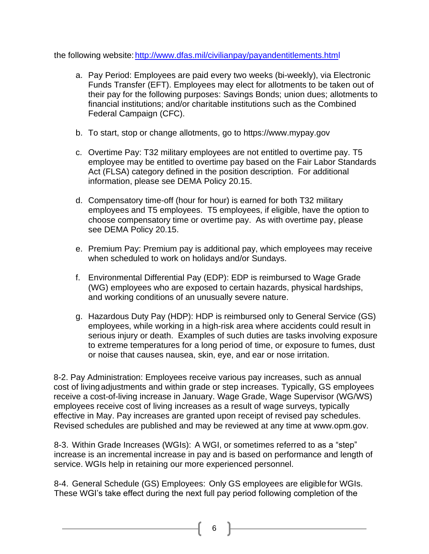the following website: http://www.dfas.mil/civilianpay/payandentitlements.html

- a. Pay Period: Employees are paid every two weeks (bi-weekly), via Electronic Funds Transfer (EFT). Employees may elect for allotments to be taken out of their pay for the following purposes: Savings Bonds; union dues; allotments to financial institutions; and/or charitable institutions such as the Combined Federal Campaign (CFC).
- b. To start, stop or change allotments, go to https:/[/www.mypay.gov](http://www.mypay.gov/)
- c. Overtime Pay: T32 military employees are not entitled to overtime pay. T5 employee may be entitled to overtime pay based on the Fair Labor Standards Act (FLSA) category defined in the position description. For additional information, please see DEMA Policy 20.15.
- d. Compensatory time-off (hour for hour) is earned for both T32 military employees and T5 employees. T5 employees, if eligible, have the option to choose compensatory time or overtime pay. As with overtime pay, please see DEMA Policy 20.15.
- e. Premium Pay: Premium pay is additional pay, which employees may receive when scheduled to work on holidays and/or Sundays.
- f. Environmental Differential Pay (EDP): EDP is reimbursed to Wage Grade (WG) employees who are exposed to certain hazards, physical hardships, and working conditions of an unusually severe nature.
- g. Hazardous Duty Pay (HDP): HDP is reimbursed only to General Service (GS) employees, while working in a high-risk area where accidents could result in serious injury or death. Examples of such duties are tasks involving exposure to extreme temperatures for a long period of time, or exposure to fumes, dust or noise that causes nausea, skin, eye, and ear or nose irritation.

8-2. Pay Administration: Employees receive various pay increases, such as annual cost of livingadjustments and within grade or step increases. Typically, GS employees receive a cost-of-living increase in January. Wage Grade, Wage Supervisor (WG/WS) employees receive cost of living increases as a result of wage surveys, typically effective in May. Pay increases are granted upon receipt of revised pay schedules. Revised schedules are published and may be reviewed at any time at [www.opm.gov.](http://www.opm.gov/)

8-3. Within Grade Increases (WGIs): A WGI, or sometimes referred to as a "step" increase is an incremental increase in pay and is based on performance and length of service. WGIs help in retaining our more experienced personnel.

8-4. General Schedule (GS) Employees: Only GS employees are eligiblefor WGIs. These WGI's take effect during the next full pay period following completion of the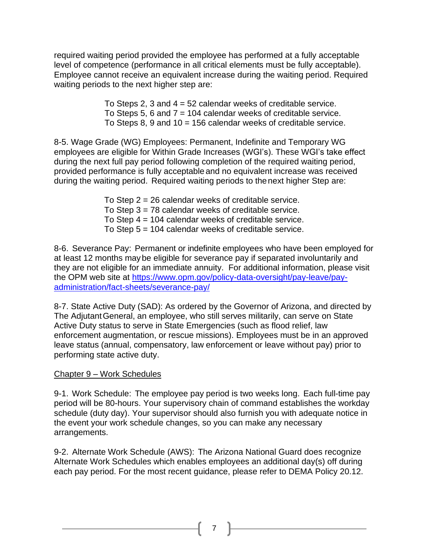required waiting period provided the employee has performed at a fully acceptable level of competence (performance in all critical elements must be fully acceptable). Employee cannot receive an equivalent increase during the waiting period. Required waiting periods to the next higher step are:

> To Steps 2, 3 and  $4 = 52$  calendar weeks of creditable service. To Steps 5, 6 and  $7 = 104$  calendar weeks of creditable service. To Steps 8, 9 and 10 = 156 calendar weeks of creditable service.

8-5. Wage Grade (WG) Employees: Permanent, Indefinite and Temporary WG employees are eligible for Within Grade Increases (WGI's). These WGI's take effect during the next full pay period following completion of the required waiting period, provided performance is fully acceptable and no equivalent increase was received during the waiting period. Required waiting periods to thenext higher Step are:

- To Step  $2 = 26$  calendar weeks of creditable service.
- To Step 3 = 78 calendar weeks of creditable service.
- To Step 4 = 104 calendar weeks of creditable service.
- To Step 5 = 104 calendar weeks of creditable service.

8-6. Severance Pay: Permanent or indefinite employees who have been employed for at least 12 months maybe eligible for severance pay if separated involuntarily and they are not eligible for an immediate annuity. For additional information, please visit the OPM web site at [https://www.opm.gov/policy-data-oversight/pay-leave/pay](https://www.opm.gov/policy-data-oversight/pay-leave/pay-administration/fact-sheets/severance-pay/)[administration/fact-sheets/severance-pay/](https://www.opm.gov/policy-data-oversight/pay-leave/pay-administration/fact-sheets/severance-pay/)

8-7. State Active Duty (SAD): As ordered by the Governor of Arizona, and directed by The AdjutantGeneral, an employee, who still serves militarily, can serve on State Active Duty status to serve in State Emergencies (such as flood relief, law enforcement augmentation, or rescue missions). Employees must be in an approved leave status (annual, compensatory, law enforcement or leave without pay) prior to performing state active duty.

#### Chapter 9 – Work Schedules

9-1. Work Schedule: The employee pay period is two weeks long. Each full-time pay period will be 80-hours. Your supervisory chain of command establishes the workday schedule (duty day). Your supervisor should also furnish you with adequate notice in the event your work schedule changes, so you can make any necessary arrangements.

9-2. Alternate Work Schedule (AWS): The Arizona National Guard does recognize Alternate Work Schedules which enables employees an additional day(s) off during each pay period. For the most recent guidance, please refer to DEMA Policy 20.12.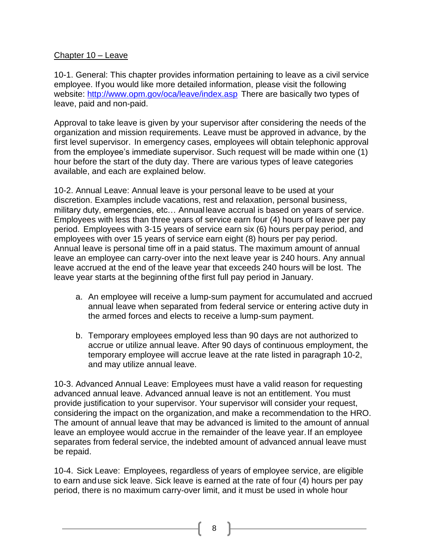# Chapter 10 – Leave

10-1. General: This chapter provides information pertaining to leave as a civil service employee. If you would like more detailed information, please visit the following website: <http://www.opm.gov/oca/leave/index.asp> There are basically two types of leave, paid and non-paid.

Approval to take leave is given by your supervisor after considering the needs of the organization and mission requirements. Leave must be approved in advance, by the first level supervisor. In emergency cases, employees will obtain telephonic approval from the employee's immediate supervisor. Such request will be made within one (1) hour before the start of the duty day. There are various types of leave categories available, and each are explained below.

10-2. Annual Leave: Annual leave is your personal leave to be used at your discretion. Examples include vacations, rest and relaxation, personal business, military duty, emergencies, etc… Annual leave accrual is based on years of service. Employees with less than three years of service earn four (4) hours of leave per pay period. Employees with 3-15 years of service earn six (6) hours perpay period, and employees with over 15 years of service earn eight (8) hours per pay period. Annual leave is personal time off in a paid status. The maximum amount of annual leave an employee can carry-over into the next leave year is 240 hours. Any annual leave accrued at the end of the leave year that exceeds 240 hours will be lost. The leave year starts at the beginning ofthe first full pay period in January.

- a. An employee will receive a lump-sum payment for accumulated and accrued annual leave when separated from federal service or entering active duty in the armed forces and elects to receive a lump-sum payment.
- b. Temporary employees employed less than 90 days are not authorized to accrue or utilize annual leave. After 90 days of continuous employment, the temporary employee will accrue leave at the rate listed in paragraph 10-2, and may utilize annual leave.

10-3. Advanced Annual Leave: Employees must have a valid reason for requesting advanced annual leave. Advanced annual leave is not an entitlement. You must provide justification to your supervisor. Your supervisor will consider your request, considering the impact on the organization, and make a recommendation to the HRO. The amount of annual leave that may be advanced is limited to the amount of annual leave an employee would accrue in the remainder of the leave year. If an employee separates from federal service, the indebted amount of advanced annual leave must be repaid.

10-4. Sick Leave: Employees, regardless of years of employee service, are eligible to earn anduse sick leave. Sick leave is earned at the rate of four (4) hours per pay period, there is no maximum carry-over limit, and it must be used in whole hour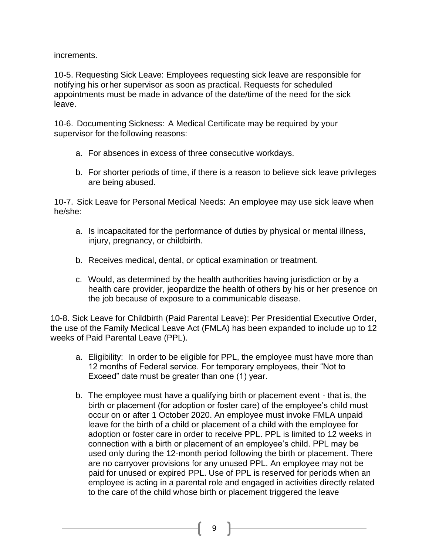increments.

10-5. Requesting Sick Leave: Employees requesting sick leave are responsible for notifying his orher supervisor as soon as practical. Requests for scheduled appointments must be made in advance of the date/time of the need for the sick leave.

10-6. Documenting Sickness: A Medical Certificate may be required by your supervisor for the following reasons:

- a. For absences in excess of three consecutive workdays.
- b. For shorter periods of time, if there is a reason to believe sick leave privileges are being abused.

10-7. Sick Leave for Personal Medical Needs: An employee may use sick leave when he/she:

- a. Is incapacitated for the performance of duties by physical or mental illness, injury, pregnancy, or childbirth.
- b. Receives medical, dental, or optical examination or treatment.
- c. Would, as determined by the health authorities having jurisdiction or by a health care provider, jeopardize the health of others by his or her presence on the job because of exposure to a communicable disease.

10-8. Sick Leave for Childbirth (Paid Parental Leave): Per Presidential Executive Order, the use of the Family Medical Leave Act (FMLA) has been expanded to include up to 12 weeks of Paid Parental Leave (PPL).

- a. Eligibility: In order to be eligible for PPL, the employee must have more than 12 months of Federal service. For temporary employees, their "Not to Exceed" date must be greater than one (1) year.
- b. The employee must have a qualifying birth or placement event that is, the birth or placement (for adoption or foster care) of the employee's child must occur on or after 1 October 2020. An employee must invoke FMLA unpaid leave for the birth of a child or placement of a child with the employee for adoption or foster care in order to receive PPL. PPL is limited to 12 weeks in connection with a birth or placement of an employee's child. PPL may be used only during the 12-month period following the birth or placement. There are no carryover provisions for any unused PPL. An employee may not be paid for unused or expired PPL. Use of PPL is reserved for periods when an employee is acting in a parental role and engaged in activities directly related to the care of the child whose birth or placement triggered the leave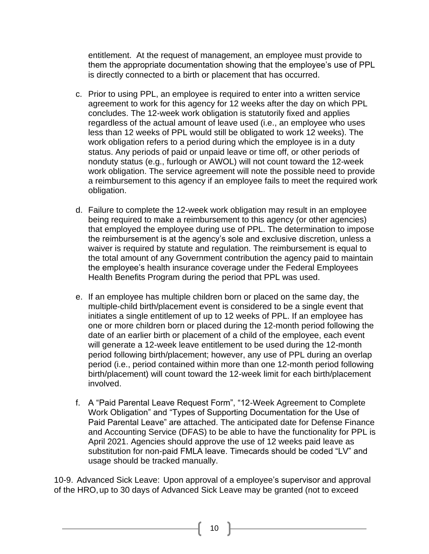entitlement. At the request of management, an employee must provide to them the appropriate documentation showing that the employee's use of PPL is directly connected to a birth or placement that has occurred.

- c. Prior to using PPL, an employee is required to enter into a written service agreement to work for this agency for 12 weeks after the day on which PPL concludes. The 12-week work obligation is statutorily fixed and applies regardless of the actual amount of leave used (i.e., an employee who uses less than 12 weeks of PPL would still be obligated to work 12 weeks). The work obligation refers to a period during which the employee is in a duty status. Any periods of paid or unpaid leave or time off, or other periods of nonduty status (e.g., furlough or AWOL) will not count toward the 12-week work obligation. The service agreement will note the possible need to provide a reimbursement to this agency if an employee fails to meet the required work obligation.
- d. Failure to complete the 12-week work obligation may result in an employee being required to make a reimbursement to this agency (or other agencies) that employed the employee during use of PPL. The determination to impose the reimbursement is at the agency's sole and exclusive discretion, unless a waiver is required by statute and regulation. The reimbursement is equal to the total amount of any Government contribution the agency paid to maintain the employee's health insurance coverage under the Federal Employees Health Benefits Program during the period that PPL was used.
- e. If an employee has multiple children born or placed on the same day, the multiple-child birth/placement event is considered to be a single event that initiates a single entitlement of up to 12 weeks of PPL. If an employee has one or more children born or placed during the 12-month period following the date of an earlier birth or placement of a child of the employee, each event will generate a 12-week leave entitlement to be used during the 12-month period following birth/placement; however, any use of PPL during an overlap period (i.e., period contained within more than one 12-month period following birth/placement) will count toward the 12-week limit for each birth/placement involved.
- f. A "Paid Parental Leave Request Form", "12-Week Agreement to Complete Work Obligation" and "Types of Supporting Documentation for the Use of Paid Parental Leave" are attached. The anticipated date for Defense Finance and Accounting Service (DFAS) to be able to have the functionality for PPL is April 2021. Agencies should approve the use of 12 weeks paid leave as substitution for non-paid FMLA leave. Timecards should be coded "LV" and usage should be tracked manually.

10-9. Advanced Sick Leave: Upon approval of a employee's supervisor and approval of the HRO,up to 30 days of Advanced Sick Leave may be granted (not to exceed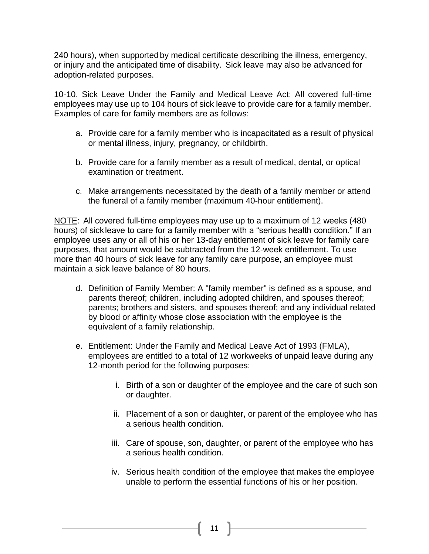240 hours), when supportedby medical certificate describing the illness, emergency, or injury and the anticipated time of disability. Sick leave may also be advanced for adoption-related purposes.

10-10. Sick Leave Under the Family and Medical Leave Act: All covered full-time employees may use up to 104 hours of sick leave to provide care for a family member. Examples of care for family members are as follows:

- a. Provide care for a family member who is incapacitated as a result of physical or mental illness, injury, pregnancy, or childbirth.
- b. Provide care for a family member as a result of medical, dental, or optical examination or treatment.
- c. Make arrangements necessitated by the death of a family member or attend the funeral of a family member (maximum 40-hour entitlement).

NOTE: All covered full-time employees may use up to a maximum of 12 weeks (480 hours) of sick leave to care for a family member with a "serious health condition." If an employee uses any or all of his or her 13-day entitlement of sick leave for family care purposes, that amount would be subtracted from the 12-week entitlement. To use more than 40 hours of sick leave for any family care purpose, an employee must maintain a sick leave balance of 80 hours.

- d. Definition of Family Member: A "family member" is defined as a spouse, and parents thereof; children, including adopted children, and spouses thereof; parents; brothers and sisters, and spouses thereof; and any individual related by blood or affinity whose close association with the employee is the equivalent of a family relationship.
- e. Entitlement: Under the Family and Medical Leave Act of 1993 (FMLA), employees are entitled to a total of 12 workweeks of unpaid leave during any 12-month period for the following purposes:
	- i. Birth of a son or daughter of the employee and the care of such son or daughter.
	- ii. Placement of a son or daughter, or parent of the employee who has a serious health condition.
	- iii. Care of spouse, son, daughter, or parent of the employee who has a serious health condition.
	- iv. Serious health condition of the employee that makes the employee unable to perform the essential functions of his or her position.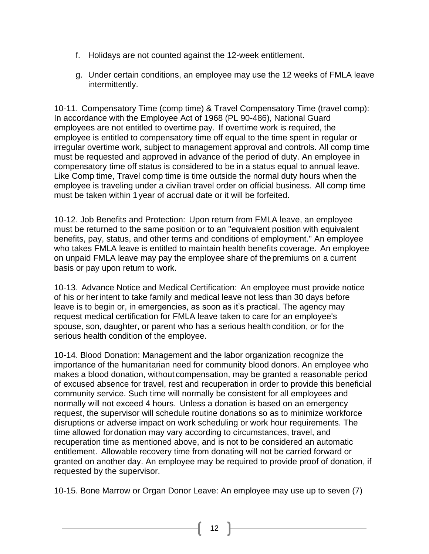- f. Holidays are not counted against the 12-week entitlement.
- g. Under certain conditions, an employee may use the 12 weeks of FMLA leave intermittently.

10-11. Compensatory Time (comp time) & Travel Compensatory Time (travel comp): In accordance with the Employee Act of 1968 (PL 90-486), National Guard employees are not entitled to overtime pay. If overtime work is required, the employee is entitled to compensatory time off equal to the time spent in regular or irregular overtime work, subject to management approval and controls. All comp time must be requested and approved in advance of the period of duty. An employee in compensatory time off status is considered to be in a status equal to annual leave. Like Comp time, Travel comp time is time outside the normal duty hours when the employee is traveling under a civilian travel order on official business. All comp time must be taken within 1year of accrual date or it will be forfeited.

10-12. Job Benefits and Protection: Upon return from FMLA leave, an employee must be returned to the same position or to an "equivalent position with equivalent benefits, pay, status, and other terms and conditions of employment." An employee who takes FMLA leave is entitled to maintain health benefits coverage. An employee on unpaid FMLA leave may pay the employee share of thepremiums on a current basis or pay upon return to work.

10-13. Advance Notice and Medical Certification: An employee must provide notice of his or herintent to take family and medical leave not less than 30 days before leave is to begin or, in emergencies, as soon as it's practical. The agency may request medical certification for FMLA leave taken to care for an employee's spouse, son, daughter, or parent who has a serious health condition, or for the serious health condition of the employee.

10-14. Blood Donation: Management and the labor organization recognize the importance of the humanitarian need for community blood donors. An employee who makes a blood donation, without compensation, may be granted a reasonable period of excused absence for travel, rest and recuperation in order to provide this beneficial community service. Such time will normally be consistent for all employees and normally will not exceed 4 hours. Unless a donation is based on an emergency request, the supervisor will schedule routine donations so as to minimize workforce disruptions or adverse impact on work scheduling or work hour requirements. The time allowed fordonation may vary according to circumstances, travel, and recuperation time as mentioned above, and is not to be considered an automatic entitlement. Allowable recovery time from donating will not be carried forward or granted on another day. An employee may be required to provide proof of donation, if requested by the supervisor.

10-15. Bone Marrow or Organ Donor Leave: An employee may use up to seven (7)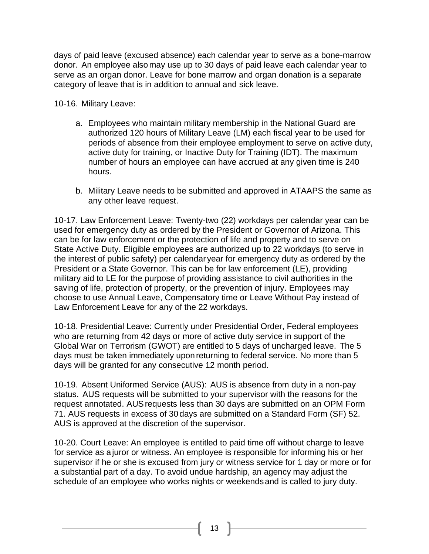days of paid leave (excused absence) each calendar year to serve as a bone-marrow donor. An employee alsomay use up to 30 days of paid leave each calendar year to serve as an organ donor. Leave for bone marrow and organ donation is a separate category of leave that is in addition to annual and sick leave.

10-16. Military Leave:

- a. Employees who maintain military membership in the National Guard are authorized 120 hours of Military Leave (LM) each fiscal year to be used for periods of absence from their employee employment to serve on active duty, active duty for training, or Inactive Duty for Training (IDT). The maximum number of hours an employee can have accrued at any given time is 240 hours.
- b. Military Leave needs to be submitted and approved in ATAAPS the same as any other leave request.

10-17. Law Enforcement Leave: Twenty-two (22) workdays per calendar year can be used for emergency duty as ordered by the President or Governor of Arizona. This can be for law enforcement or the protection of life and property and to serve on State Active Duty. Eligible employees are authorized up to 22 workdays (to serve in the interest of public safety) per calendar year for emergency duty as ordered by the President or a State Governor. This can be for law enforcement (LE), providing military aid to LE for the purpose of providing assistance to civil authorities in the saving of life, protection of property, or the prevention of injury. Employees may choose to use Annual Leave, Compensatory time or Leave Without Pay instead of Law Enforcement Leave for any of the 22 workdays.

10-18. Presidential Leave: Currently under Presidential Order, Federal employees who are returning from 42 days or more of active duty service in support of the Global War on Terrorism (GWOT) are entitled to 5 days of uncharged leave. The 5 days must be taken immediately uponreturning to federal service. No more than 5 days will be granted for any consecutive 12 month period.

10-19. Absent Uniformed Service (AUS): AUS is absence from duty in a non-pay status. AUS requests will be submitted to your supervisor with the reasons for the request annotated. AUSrequests less than 30 days are submitted on an OPM Form 71. AUS requests in excess of 30days are submitted on a Standard Form (SF) 52. AUS is approved at the discretion of the supervisor.

10-20. Court Leave: An employee is entitled to paid time off without charge to leave for service as a juror or witness. An employee is responsible for informing his or her supervisor if he or she is excused from jury or witness service for 1 day or more or for a substantial part of a day. To avoid undue hardship, an agency may adjust the schedule of an employee who works nights or weekendsand is called to jury duty.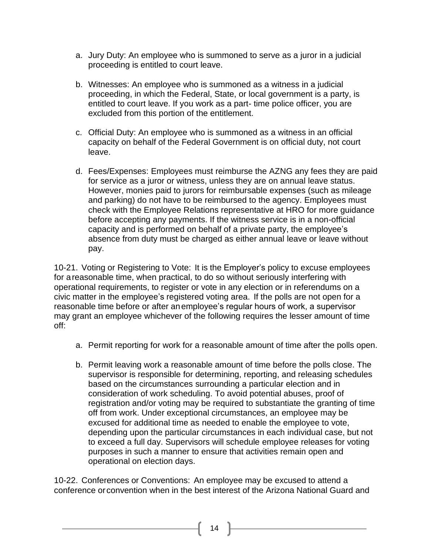- a. Jury Duty: An employee who is summoned to serve as a juror in a judicial proceeding is entitled to court leave.
- b. Witnesses: An employee who is summoned as a witness in a judicial proceeding, in which the Federal, State, or local government is a party, is entitled to court leave. If you work as a part- time police officer, you are excluded from this portion of the entitlement.
- c. Official Duty: An employee who is summoned as a witness in an official capacity on behalf of the Federal Government is on official duty, not court leave.
- d. Fees/Expenses: Employees must reimburse the AZNG any fees they are paid for service as a juror or witness, unless they are on annual leave status. However, monies paid to jurors for reimbursable expenses (such as mileage and parking) do not have to be reimbursed to the agency. Employees must check with the Employee Relations representative at HRO for more guidance before accepting any payments. If the witness service is in a non-official capacity and is performed on behalf of a private party, the employee's absence from duty must be charged as either annual leave or leave without pay.

10-21. Voting or Registering to Vote: It is the Employer's policy to excuse employees for areasonable time, when practical, to do so without seriously interfering with operational requirements, to register or vote in any election or in referendums on a civic matter in the employee's registered voting area. If the polls are not open for a reasonable time before or after anemployee's regular hours of work, a supervisor may grant an employee whichever of the following requires the lesser amount of time off:

- a. Permit reporting for work for a reasonable amount of time after the polls open.
- b. Permit leaving work a reasonable amount of time before the polls close. The supervisor is responsible for determining, reporting, and releasing schedules based on the circumstances surrounding a particular election and in consideration of work scheduling. To avoid potential abuses, proof of registration and/or voting may be required to substantiate the granting of time off from work. Under exceptional circumstances, an employee may be excused for additional time as needed to enable the employee to vote, depending upon the particular circumstances in each individual case, but not to exceed a full day. Supervisors will schedule employee releases for voting purposes in such a manner to ensure that activities remain open and operational on election days.

10-22. Conferences or Conventions: An employee may be excused to attend a conference or convention when in the best interest of the Arizona National Guard and

14  $\parallel$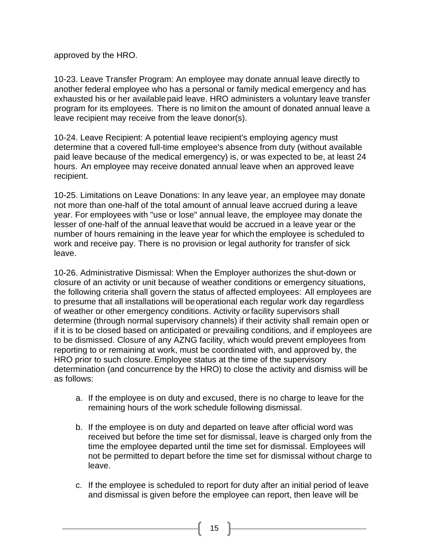approved by the HRO.

10-23. Leave Transfer Program: An employee may donate annual leave directly to another federal employee who has a personal or family medical emergency and has exhausted his or her available paid leave. HRO administers a voluntary leave transfer program for its employees. There is no limiton the amount of donated annual leave a leave recipient may receive from the leave donor(s).

10-24. Leave Recipient: A potential leave recipient's employing agency must determine that a covered full-time employee's absence from duty (without available paid leave because of the medical emergency) is, or was expected to be, at least 24 hours. An employee may receive donated annual leave when an approved leave recipient.

10-25. Limitations on Leave Donations: In any leave year, an employee may donate not more than one-half of the total amount of annual leave accrued during a leave year. For employees with "use or lose" annual leave, the employee may donate the lesser of one-half of the annual leavethat would be accrued in a leave year or the number of hours remaining in the leave year for which the employee is scheduled to work and receive pay. There is no provision or legal authority for transfer of sick leave.

10-26. Administrative Dismissal: When the Employer authorizes the shut-down or closure of an activity or unit because of weather conditions or emergency situations, the following criteria shall govern the status of affected employees: All employees are to presume that all installations will beoperational each regular work day regardless of weather or other emergency conditions. Activity orfacility supervisors shall determine (through normal supervisory channels) if their activity shall remain open or if it is to be closed based on anticipated or prevailing conditions, and if employees are to be dismissed. Closure of any AZNG facility, which would prevent employees from reporting to or remaining at work, must be coordinated with, and approved by, the HRO prior to such closure.Employee status at the time of the supervisory determination (and concurrence by the HRO) to close the activity and dismiss will be as follows:

- a. If the employee is on duty and excused, there is no charge to leave for the remaining hours of the work schedule following dismissal.
- b. If the employee is on duty and departed on leave after official word was received but before the time set for dismissal, leave is charged only from the time the employee departed until the time set for dismissal. Employees will not be permitted to depart before the time set for dismissal without charge to leave.
- c. If the employee is scheduled to report for duty after an initial period of leave and dismissal is given before the employee can report, then leave will be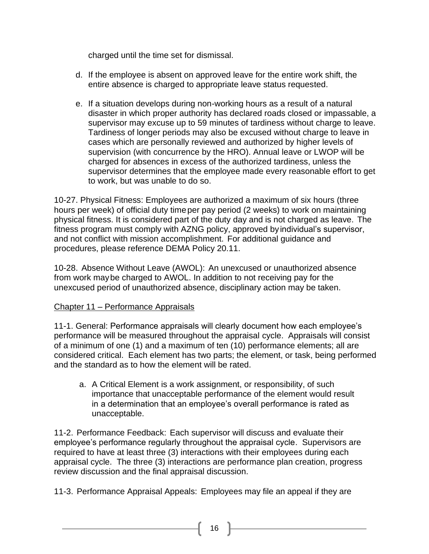charged until the time set for dismissal.

- d. If the employee is absent on approved leave for the entire work shift, the entire absence is charged to appropriate leave status requested.
- e. If a situation develops during non-working hours as a result of a natural disaster in which proper authority has declared roads closed or impassable, a supervisor may excuse up to 59 minutes of tardiness without charge to leave. Tardiness of longer periods may also be excused without charge to leave in cases which are personally reviewed and authorized by higher levels of supervision (with concurrence by the HRO). Annual leave or LWOP will be charged for absences in excess of the authorized tardiness, unless the supervisor determines that the employee made every reasonable effort to get to work, but was unable to do so.

10-27. Physical Fitness: Employees are authorized a maximum of six hours (three hours per week) of official duty timeper pay period (2 weeks) to work on maintaining physical fitness. It is considered part of the duty day and is not charged as leave. The fitness program must comply with AZNG policy, approved by individual's supervisor, and not conflict with mission accomplishment. For additional guidance and procedures, please reference DEMA Policy 20.11.

10-28. Absence Without Leave (AWOL): An unexcused or unauthorized absence from work maybe charged to AWOL. In addition to not receiving pay for the unexcused period of unauthorized absence, disciplinary action may be taken.

# Chapter 11 – Performance Appraisals

11-1. General: Performance appraisals will clearly document how each employee's performance will be measured throughout the appraisal cycle. Appraisals will consist of a minimum of one (1) and a maximum of ten (10) performance elements; all are considered critical. Each element has two parts; the element, or task, being performed and the standard as to how the element will be rated.

a. A Critical Element is a work assignment, or responsibility, of such importance that unacceptable performance of the element would result in a determination that an employee's overall performance is rated as unacceptable.

11-2. Performance Feedback: Each supervisor will discuss and evaluate their employee's performance regularly throughout the appraisal cycle. Supervisors are required to have at least three (3) interactions with their employees during each appraisal cycle. The three (3) interactions are performance plan creation, progress review discussion and the final appraisal discussion.

11-3. Performance Appraisal Appeals: Employees may file an appeal if they are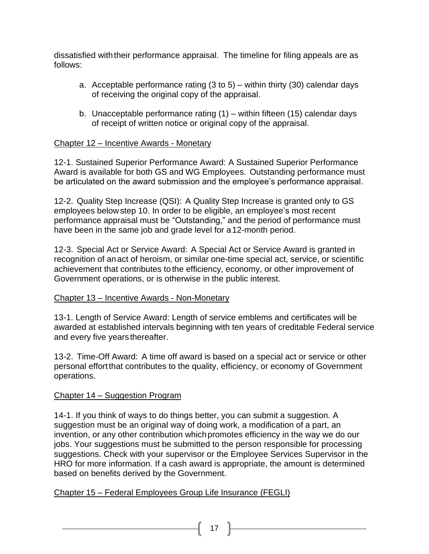dissatisfied withtheir performance appraisal. The timeline for filing appeals are as follows:

- a. Acceptable performance rating  $(3 \text{ to } 5)$  within thirty  $(30)$  calendar days of receiving the original copy of the appraisal.
- b. Unacceptable performance rating (1) within fifteen (15) calendar days of receipt of written notice or original copy of the appraisal.

# Chapter 12 – Incentive Awards - Monetary

12-1. Sustained Superior Performance Award: A Sustained Superior Performance Award is available for both GS and WG Employees. Outstanding performance must be articulated on the award submission and the employee's performance appraisal.

12-2. Quality Step Increase (QSI): A Quality Step Increase is granted only to GS employees belowstep 10. In order to be eligible, an employee's most recent performance appraisal must be "Outstanding," and the period of performance must have been in the same job and grade level for a12-month period.

12-3. Special Act or Service Award: A Special Act or Service Award is granted in recognition of anact of heroism, or similar one-time special act, service, or scientific achievement that contributes to the efficiency, economy, or other improvement of Government operations, or is otherwise in the public interest.

#### Chapter 13 – Incentive Awards - Non-Monetary

13-1. Length of Service Award: Length of service emblems and certificates will be awarded at established intervals beginning with ten years of creditable Federal service and every five years thereafter.

13-2. Time-Off Award: A time off award is based on a special act or service or other personal effortthat contributes to the quality, efficiency, or economy of Government operations.

#### Chapter 14 – Suggestion Program

14-1. If you think of ways to do things better, you can submit a suggestion. A suggestion must be an original way of doing work, a modification of a part, an invention, or any other contribution whichpromotes efficiency in the way we do our jobs. Your suggestions must be submitted to the person responsible for processing suggestions. Check with your supervisor or the Employee Services Supervisor in the HRO for more information. If a cash award is appropriate, the amount is determined based on benefits derived by the Government.

#### Chapter 15 – Federal Employees Group Life Insurance (FEGLI)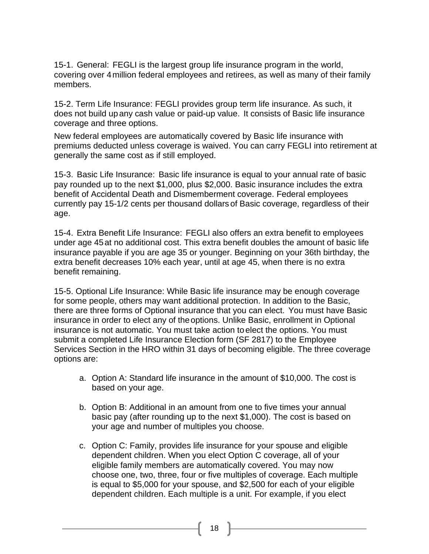15-1. General: FEGLI is the largest group life insurance program in the world, covering over 4million federal employees and retirees, as well as many of their family members.

15-2. Term Life Insurance: FEGLI provides group term life insurance. As such, it does not build upany cash value or paid-up value. It consists of Basic life insurance coverage and three options.

New federal employees are automatically covered by Basic life insurance with premiums deducted unless coverage is waived. You can carry FEGLI into retirement at generally the same cost as if still employed.

15-3. Basic Life Insurance: Basic life insurance is equal to your annual rate of basic pay rounded up to the next \$1,000, plus \$2,000. Basic insurance includes the extra benefit of Accidental Death and Dismemberment coverage. Federal employees currently pay 15-1/2 cents per thousand dollars of Basic coverage, regardless of their age.

15-4. Extra Benefit Life Insurance: FEGLI also offers an extra benefit to employees under age 45at no additional cost. This extra benefit doubles the amount of basic life insurance payable if you are age 35 or younger. Beginning on your 36th birthday, the extra benefit decreases 10% each year, until at age 45, when there is no extra benefit remaining.

15-5. Optional Life Insurance: While Basic life insurance may be enough coverage for some people, others may want additional protection. In addition to the Basic, there are three forms of Optional insurance that you can elect. You must have Basic insurance in order to elect any of theoptions. Unlike Basic, enrollment in Optional insurance is not automatic. You must take action toelect the options. You must submit a completed Life Insurance Election form (SF 2817) to the Employee Services Section in the HRO within 31 days of becoming eligible. The three coverage options are:

- a. Option A: Standard life insurance in the amount of \$10,000. The cost is based on your age.
- b. Option B: Additional in an amount from one to five times your annual basic pay (after rounding up to the next \$1,000). The cost is based on your age and number of multiples you choose.
- c. Option C: Family, provides life insurance for your spouse and eligible dependent children. When you elect Option C coverage, all of your eligible family members are automatically covered. You may now choose one, two, three, four or five multiples of coverage. Each multiple is equal to \$5,000 for your spouse, and \$2,500 for each of your eligible dependent children. Each multiple is a unit. For example, if you elect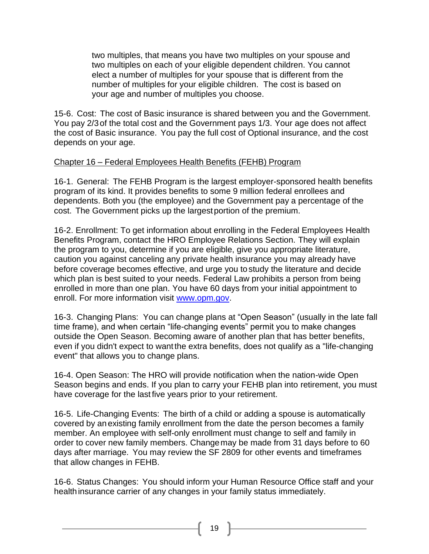two multiples, that means you have two multiples on your spouse and two multiples on each of your eligible dependent children. You cannot elect a number of multiples for your spouse that is different from the number of multiples for your eligible children. The cost is based on your age and number of multiples you choose.

15-6. Cost: The cost of Basic insurance is shared between you and the Government. You pay 2/3of the total cost and the Government pays 1/3. Your age does not affect the cost of Basic insurance. You pay the full cost of Optional insurance, and the cost depends on your age.

# Chapter 16 – Federal Employees Health Benefits (FEHB) Program

16-1. General: The FEHB Program is the largest employer-sponsored health benefits program of its kind. It provides benefits to some 9 million federal enrollees and dependents. Both you (the employee) and the Government pay a percentage of the cost. The Government picks up the largestportion of the premium.

16-2. Enrollment: To get information about enrolling in the Federal Employees Health Benefits Program, contact the HRO Employee Relations Section. They will explain the program to you, determine if you are eligible, give you appropriate literature, caution you against canceling any private health insurance you may already have before coverage becomes effective, and urge you tostudy the literature and decide which plan is best suited to your needs. Federal Law prohibits a person from being enrolled in more than one plan. You have 60 days from your initial appointment to enroll. For more information visit [www.opm.gov.](http://www.opm.gov/)

16-3. Changing Plans: You can change plans at "Open Season" (usually in the late fall time frame), and when certain "life-changing events" permit you to make changes outside the Open Season. Becoming aware of another plan that has better benefits, even if you didn't expect to wantthe extra benefits, does not qualify as a "life-changing event" that allows you to change plans.

16-4. Open Season: The HRO will provide notification when the nation-wide Open Season begins and ends. If you plan to carry your FEHB plan into retirement, you must have coverage for the last five years prior to your retirement.

16-5. Life-Changing Events: The birth of a child or adding a spouse is automatically covered by anexisting family enrollment from the date the person becomes a family member. An employee with self-only enrollment must change to self and family in order to cover new family members. Changemay be made from 31 days before to 60 days after marriage. You may review the SF 2809 for other events and timeframes that allow changes in FEHB.

16-6. Status Changes: You should inform your Human Resource Office staff and your health insurance carrier of any changes in your family status immediately.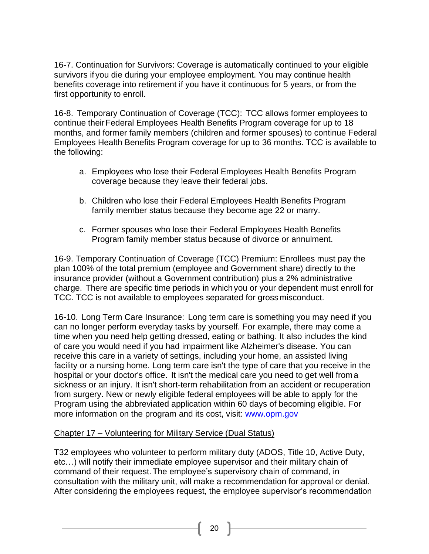16-7. Continuation for Survivors: Coverage is automatically continued to your eligible survivors if you die during your employee employment. You may continue health benefits coverage into retirement if you have it continuous for 5 years, or from the first opportunity to enroll.

16-8. Temporary Continuation of Coverage (TCC): TCC allows former employees to continue theirFederal Employees Health Benefits Program coverage for up to 18 months, and former family members (children and former spouses) to continue Federal Employees Health Benefits Program coverage for up to 36 months. TCC is available to the following:

- a. Employees who lose their Federal Employees Health Benefits Program coverage because they leave their federal jobs.
- b. Children who lose their Federal Employees Health Benefits Program family member status because they become age 22 or marry.
- c. Former spouses who lose their Federal Employees Health Benefits Program family member status because of divorce or annulment.

16-9. Temporary Continuation of Coverage (TCC) Premium: Enrollees must pay the plan 100% of the total premium (employee and Government share) directly to the insurance provider (without a Government contribution) plus a 2% administrative charge. There are specific time periods in whichyou or your dependent must enroll for TCC. TCC is not available to employees separated for grossmisconduct.

16-10. Long Term Care Insurance: Long term care is something you may need if you can no longer perform everyday tasks by yourself. For example, there may come a time when you need help getting dressed, eating or bathing. It also includes the kind of care you would need if you had impairment like Alzheimer's disease. You can receive this care in a variety of settings, including your home, an assisted living facility or a nursing home. Long term care isn't the type of care that you receive in the hospital or your doctor's office. It isn't the medical care you need to get well froma sickness or an injury. It isn't short-term rehabilitation from an accident or recuperation from surgery. New or newly eligible federal employees will be able to apply for the Program using the abbreviated application within 60 days of becoming eligible. For more information on the program and its cost, visit: [www.opm.gov](http://www.opm.gov/)

# Chapter 17 – Volunteering for Military Service (Dual Status)

T32 employees who volunteer to perform military duty (ADOS, Title 10, Active Duty, etc…) will notify their immediate employee supervisor and their military chain of command of their request.The employee's supervisory chain of command, in consultation with the military unit, will make a recommendation for approval or denial. After considering the employees request, the employee supervisor's recommendation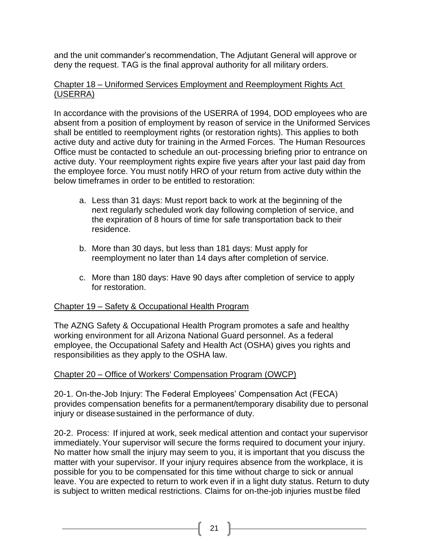and the unit commander's recommendation, The Adjutant General will approve or deny the request. TAG is the final approval authority for all military orders.

# Chapter 18 – Uniformed Services Employment and Reemployment Rights Act (USERRA)

In accordance with the provisions of the USERRA of 1994, DOD employees who are absent from a position of employment by reason of service in the Uniformed Services shall be entitled to reemployment rights (or restoration rights). This applies to both active duty and active duty for training in the Armed Forces. The Human Resources Office must be contacted to schedule an out-processing briefing prior to entrance on active duty. Your reemployment rights expire five years after your last paid day from the employee force. You must notify HRO of your return from active duty within the below timeframes in order to be entitled to restoration:

- a. Less than 31 days: Must report back to work at the beginning of the next regularly scheduled work day following completion of service, and the expiration of 8 hours of time for safe transportation back to their residence.
- b. More than 30 days, but less than 181 days: Must apply for reemployment no later than 14 days after completion of service.
- c. More than 180 days: Have 90 days after completion of service to apply for restoration.

# Chapter 19 – Safety & Occupational Health Program

The AZNG Safety & Occupational Health Program promotes a safe and healthy working environment for all Arizona National Guard personnel. As a federal employee, the Occupational Safety and Health Act (OSHA) gives you rights and responsibilities as they apply to the OSHA law.

# Chapter 20 – Office of Workers' Compensation Program (OWCP)

20-1. On-the-Job Injury: The Federal Employees' Compensation Act (FECA) provides compensation benefits for a permanent/temporary disability due to personal injury or disease sustained in the performance of duty.

20-2. Process: If injured at work, seek medical attention and contact your supervisor immediately.Your supervisor will secure the forms required to document your injury. No matter how small the injury may seem to you, it is important that you discuss the matter with your supervisor. If your injury requires absence from the workplace, it is possible for you to be compensated for this time without charge to sick or annual leave. You are expected to return to work even if in a light duty status. Return to duty is subject to written medical restrictions. Claims for on-the-job injuries must be filed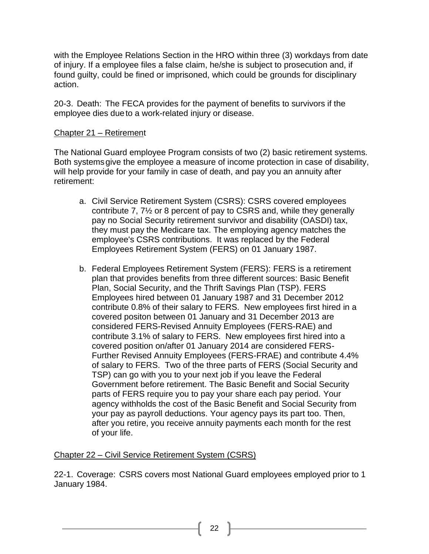with the Employee Relations Section in the HRO within three (3) workdays from date of injury. If a employee files a false claim, he/she is subject to prosecution and, if found guilty, could be fined or imprisoned, which could be grounds for disciplinary action.

20-3. Death: The FECA provides for the payment of benefits to survivors if the employee dies dueto a work-related injury or disease.

# Chapter 21 – Retirement

The National Guard employee Program consists of two (2) basic retirement systems. Both systems give the employee a measure of income protection in case of disability, will help provide for your family in case of death, and pay you an annuity after retirement:

- a. Civil Service Retirement System (CSRS): CSRS covered employees contribute 7, 7½ or 8 percent of pay to CSRS and, while they generally pay no Social Security retirement survivor and disability (OASDI) tax, they must pay the Medicare tax. The employing agency matches the employee's CSRS contributions. It was replaced by the Federal Employees Retirement System (FERS) on 01 January 1987.
- b. Federal Employees Retirement System (FERS): FERS is a retirement plan that provides benefits from three different sources: Basic Benefit Plan, Social Security, and the Thrift Savings Plan (TSP). FERS Employees hired between 01 January 1987 and 31 December 2012 contribute 0.8% of their salary to FERS. New employees first hired in a covered positon between 01 January and 31 December 2013 are considered FERS-Revised Annuity Employees (FERS-RAE) and contribute 3.1% of salary to FERS. New employees first hired into a covered position on/after 01 January 2014 are considered FERS-Further Revised Annuity Employees (FERS-FRAE) and contribute 4.4% of salary to FERS. Two of the three parts of FERS (Social Security and TSP) can go with you to your next job if you leave the Federal Government before retirement. The Basic Benefit and Social Security parts of FERS require you to pay your share each pay period. Your agency withholds the cost of the Basic Benefit and Social Security from your pay as payroll deductions. Your agency pays its part too. Then, after you retire, you receive annuity payments each month for the rest of your life.

#### Chapter 22 – Civil Service Retirement System (CSRS)

22-1. Coverage: CSRS covers most National Guard employees employed prior to 1 January 1984.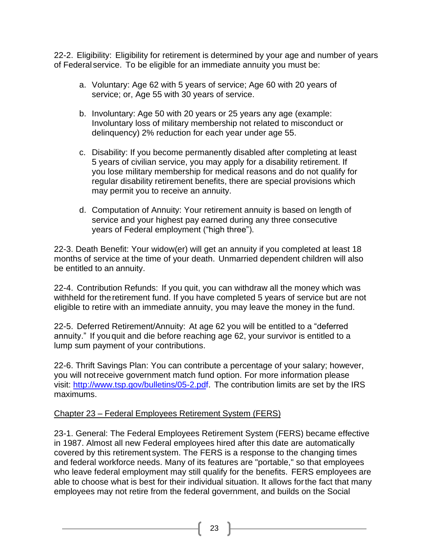22-2. Eligibility: Eligibility for retirement is determined by your age and number of years of Federal service. To be eligible for an immediate annuity you must be:

- a. Voluntary: Age 62 with 5 years of service; Age 60 with 20 years of service; or, Age 55 with 30 years of service.
- b. Involuntary: Age 50 with 20 years or 25 years any age (example: Involuntary loss of military membership not related to misconduct or delinquency) 2% reduction for each year under age 55.
- c. Disability: If you become permanently disabled after completing at least 5 years of civilian service, you may apply for a disability retirement. If you lose military membership for medical reasons and do not qualify for regular disability retirement benefits, there are special provisions which may permit you to receive an annuity.
- d. Computation of Annuity: Your retirement annuity is based on length of service and your highest pay earned during any three consecutive years of Federal employment ("high three").

22-3. Death Benefit: Your widow(er) will get an annuity if you completed at least 18 months of service at the time of your death. Unmarried dependent children will also be entitled to an annuity.

22-4. Contribution Refunds: If you quit, you can withdraw all the money which was withheld for the retirement fund. If you have completed 5 years of service but are not eligible to retire with an immediate annuity, you may leave the money in the fund.

22-5. Deferred Retirement/Annuity: At age 62 you will be entitled to a "deferred annuity." If youquit and die before reaching age 62, your survivor is entitled to a lump sum payment of your contributions.

22-6. Thrift Savings Plan: You can contribute a percentage of your salary; however, you will notreceive government match fund option. For more information please visit: [http://www.tsp.gov/bulletins/05-2.pdf.](http://www.tsp.gov/bulletins/05-2.pdf) The contribution limits are set by the IRS maximums.

#### Chapter 23 – Federal Employees Retirement System (FERS)

23-1. General: The Federal Employees Retirement System (FERS) became effective in 1987. Almost all new Federal employees hired after this date are automatically covered by this retirement system. The FERS is a response to the changing times and federal workforce needs. Many of its features are "portable," so that employees who leave federal employment may still qualify for the benefits. FERS employees are able to choose what is best for their individual situation. It allows forthe fact that many employees may not retire from the federal government, and builds on the Social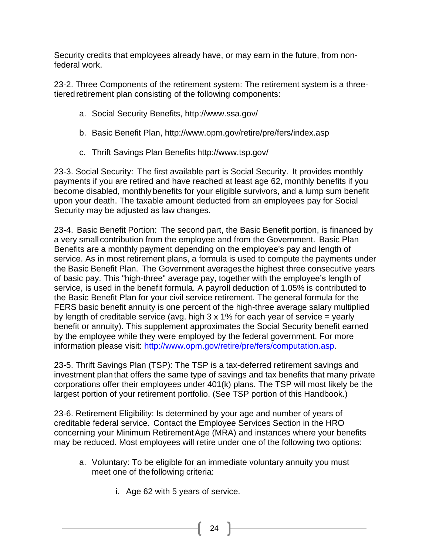Security credits that employees already have, or may earn in the future, from nonfederal work.

23-2. Three Components of the retirement system: The retirement system is a threetiered retirement plan consisting of the following components:

- a. Social Security Benefits, <http://www.ssa.gov/>
- b. Basic Benefit Plan, <http://www.opm.gov/retire/pre/fers/index.asp>
- c. Thrift Savings Plan Benefits <http://www.tsp.gov/>

23-3. Social Security: The first available part is Social Security. It provides monthly payments if you are retired and have reached at least age 62, monthly benefits if you become disabled, monthlybenefits for your eligible survivors, and a lump sum benefit upon your death. The taxable amount deducted from an employees pay for Social Security may be adjusted as law changes.

23-4. Basic Benefit Portion: The second part, the Basic Benefit portion, is financed by a very small contribution from the employee and from the Government. Basic Plan Benefits are a monthly payment depending on the employee's pay and length of service. As in most retirement plans, a formula is used to compute the payments under the Basic Benefit Plan. The Government averages the highest three consecutive years of basic pay. This "high-three" average pay, together with the employee's length of service, is used in the benefit formula. A payroll deduction of 1.05% is contributed to the Basic Benefit Plan for your civil service retirement. The general formula for the FERS basic benefit annuity is one percent of the high-three average salary multiplied by length of creditable service (avg. high 3 x 1% for each year of service = yearly benefit or annuity). This supplement approximates the Social Security benefit earned by the employee while they were employed by the federal government. For more information please visit: [http://www.opm.gov/retire/pre/fers/computation.asp.](http://www.opm.gov/retire/pre/fers/computation.asp)

23-5. Thrift Savings Plan (TSP): The TSP is a tax-deferred retirement savings and investment planthat offers the same type of savings and tax benefits that many private corporations offer their employees under 401(k) plans. The TSP will most likely be the largest portion of your retirement portfolio. (See TSP portion of this Handbook.)

23-6. Retirement Eligibility: Is determined by your age and number of years of creditable federal service. Contact the Employee Services Section in the HRO concerning your Minimum RetirementAge (MRA) and instances where your benefits may be reduced. Most employees will retire under one of the following two options:

- a. Voluntary: To be eligible for an immediate voluntary annuity you must meet one of the following criteria:
	- i. Age 62 with 5 years of service.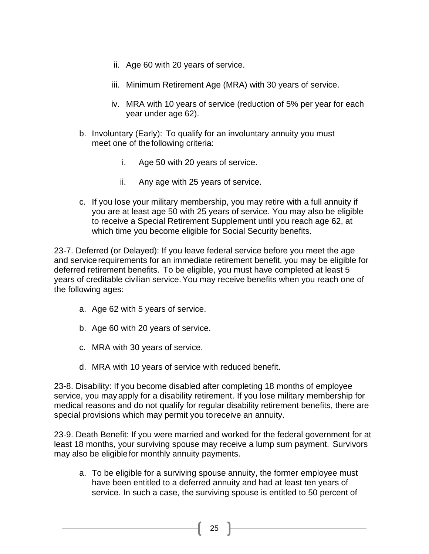- ii. Age 60 with 20 years of service.
- iii. Minimum Retirement Age (MRA) with 30 years of service.
- iv. MRA with 10 years of service (reduction of 5% per year for each year under age 62).
- b. Involuntary (Early): To qualify for an involuntary annuity you must meet one of the following criteria:
	- i. Age 50 with 20 years of service.
	- ii. Any age with 25 years of service.
- c. If you lose your military membership, you may retire with a full annuity if you are at least age 50 with 25 years of service. You may also be eligible to receive a Special Retirement Supplement until you reach age 62, at which time you become eligible for Social Security benefits.

23-7. Deferred (or Delayed): If you leave federal service before you meet the age and service requirements for an immediate retirement benefit, you may be eligible for deferred retirement benefits. To be eligible, you must have completed at least 5 years of creditable civilian service.You may receive benefits when you reach one of the following ages:

- a. Age 62 with 5 years of service.
- b. Age 60 with 20 years of service.
- c. MRA with 30 years of service.
- d. MRA with 10 years of service with reduced benefit.

23-8. Disability: If you become disabled after completing 18 months of employee service, you mayapply for a disability retirement. If you lose military membership for medical reasons and do not qualify for regular disability retirement benefits, there are special provisions which may permit you toreceive an annuity.

23-9. Death Benefit: If you were married and worked for the federal government for at least 18 months, your surviving spouse may receive a lump sum payment. Survivors may also be eligiblefor monthly annuity payments.

a. To be eligible for a surviving spouse annuity, the former employee must have been entitled to a deferred annuity and had at least ten years of service. In such a case, the surviving spouse is entitled to 50 percent of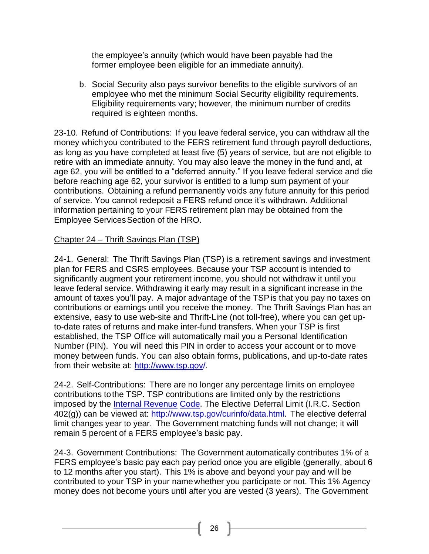the employee's annuity (which would have been payable had the former employee been eligible for an immediate annuity).

b. Social Security also pays survivor benefits to the eligible survivors of an employee who met the minimum Social Security eligibility requirements. Eligibility requirements vary; however, the minimum number of credits required is eighteen months.

23-10. Refund of Contributions: If you leave federal service, you can withdraw all the money which you contributed to the FERS retirement fund through payroll deductions, as long as you have completed at least five (5) years of service, but are not eligible to retire with an immediate annuity. You may also leave the money in the fund and, at age 62, you will be entitled to a "deferred annuity." If you leave federal service and die before reaching age 62, your survivor is entitled to a lump sum payment of your contributions. Obtaining a refund permanently voids any future annuity for this period of service. You cannot redeposit a FERS refund once it's withdrawn. Additional information pertaining to your FERS retirement plan may be obtained from the Employee Services Section of the HRO.

# Chapter 24 – Thrift Savings Plan (TSP)

24-1. General: The Thrift Savings Plan (TSP) is a retirement savings and investment plan for FERS and CSRS employees. Because your TSP account is intended to significantly augment your retirement income, you should not withdraw it until you leave federal service. Withdrawing it early may result in a significant increase in the amount of taxes you'll pay. A major advantage of the TSPis that you pay no taxes on contributions or earnings until you receive the money. The Thrift Savings Plan has an extensive, easy to use web-site and Thrift-Line (not toll-free), where you can get upto-date rates of returns and make inter-fund transfers. When your TSP is first established, the TSP Office will automatically mail you a Personal Identification Number (PIN). You will need this PIN in order to access your account or to move money between funds. You can also obtain forms, publications, and up-to-date rates from their website at: [http://www.tsp.gov/.](http://www.tsp.gov/)

24-2. Self-Contributions: There are no longer any percentage limits on employee contributions tothe TSP. TSP contributions are limited only by the restrictions imposed by the [Internal Revenue](http://www.tsp.gov/features/def_ch1-IRS-code.html) [Code.](http://www.tsp.gov/features/def_ch1-IRS-code.html) The Elective Deferral Limit (I.R.C. Section 402(g)) can be viewed at: [http://www.tsp.gov/curinfo/data.html.](http://www.tsp.gov/curinfo/data.html) The elective deferral limit changes year to year. The Government matching funds will not change; it will remain 5 percent of a FERS employee's basic pay.

24-3. Government Contributions: The Government automatically contributes 1% of a FERS employee's basic pay each pay period once you are eligible (generally, about 6 to 12 months after you start). This 1% is above and beyond your pay and will be contributed to your TSP in your namewhether you participate or not. This 1% Agency money does not become yours until after you are vested (3 years). The Government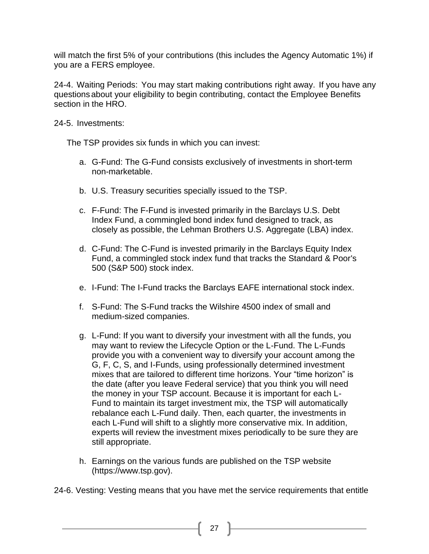will match the first 5% of your contributions (this includes the Agency Automatic 1%) if you are a FERS employee.

24-4. Waiting Periods: You may start making contributions right away. If you have any questionsabout your eligibility to begin contributing, contact the Employee Benefits section in the HRO.

24-5. Investments:

The TSP provides six funds in which you can invest:

- a. G-Fund: The G-Fund consists exclusively of investments in short-term non-marketable.
- b. U.S. Treasury securities specially issued to the TSP.
- c. F-Fund: The F-Fund is invested primarily in the Barclays U.S. Debt Index Fund, a commingled bond index fund designed to track, as closely as possible, the Lehman Brothers U.S. Aggregate (LBA) index.
- d. C-Fund: The C-Fund is invested primarily in the Barclays Equity Index Fund, a commingled stock index fund that tracks the Standard & Poor's 500 (S&P 500) stock index.
- e. I-Fund: The I-Fund tracks the Barclays EAFE international stock index.
- f. S-Fund: The S-Fund tracks the Wilshire 4500 index of small and medium-sized companies.
- g. L-Fund: If you want to diversify your investment with all the funds, you may want to review the Lifecycle Option or the L-Fund. The L-Funds provide you with a convenient way to diversify your account among the G, F, C, S, and I-Funds, using professionally determined investment mixes that are tailored to different time horizons. Your "time horizon" is the date (after you leave Federal service) that you think you will need the money in your TSP account. Because it is important for each L-Fund to maintain its target investment mix, the TSP will automatically rebalance each L-Fund daily. Then, each quarter, the investments in each L-Fund will shift to a slightly more conservative mix. In addition, experts will review the investment mixes periodically to be sure they are still appropriate.
- h. Earnings on the various funds are published on the TSP website (https://www.tsp.gov).
- 24-6. Vesting: Vesting means that you have met the service requirements that entitle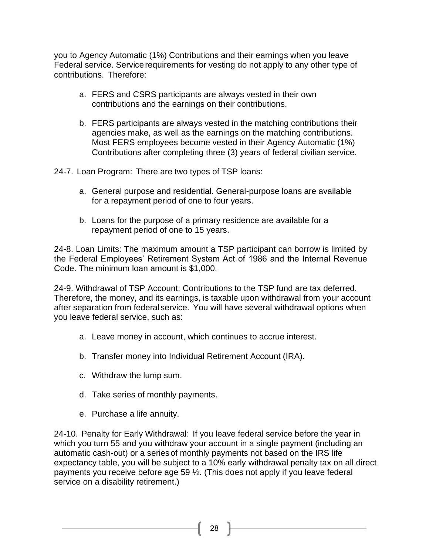you to Agency Automatic (1%) Contributions and their earnings when you leave Federal service. Service requirements for vesting do not apply to any other type of contributions. Therefore:

- a. FERS and CSRS participants are always vested in their own contributions and the earnings on their contributions.
- b. FERS participants are always vested in the matching contributions their agencies make, as well as the earnings on the matching contributions. Most FERS employees become vested in their Agency Automatic (1%) Contributions after completing three (3) years of federal civilian service.

24-7. Loan Program: There are two types of TSP loans:

- a. General purpose and residential. General-purpose loans are available for a repayment period of one to four years.
- b. Loans for the purpose of a primary residence are available for a repayment period of one to 15 years.

24-8. Loan Limits: The maximum amount a TSP participant can borrow is limited by the Federal Employees' Retirement System Act of 1986 and the Internal Revenue Code. The minimum loan amount is \$1,000.

24-9. Withdrawal of TSP Account: Contributions to the TSP fund are tax deferred. Therefore, the money, and its earnings, is taxable upon withdrawal from your account after separation from federal service. You will have several withdrawal options when you leave federal service, such as:

- a. Leave money in account, which continues to accrue interest.
- b. Transfer money into Individual Retirement Account (IRA).
- c. Withdraw the lump sum.
- d. Take series of monthly payments.
- e. Purchase a life annuity.

24-10. Penalty for Early Withdrawal: If you leave federal service before the year in which you turn 55 and you withdraw your account in a single payment (including an automatic cash-out) or a seriesof monthly payments not based on the IRS life expectancy table, you will be subject to a 10% early withdrawal penalty tax on all direct payments you receive before age 59 ½. (This does not apply if you leave federal service on a disability retirement.)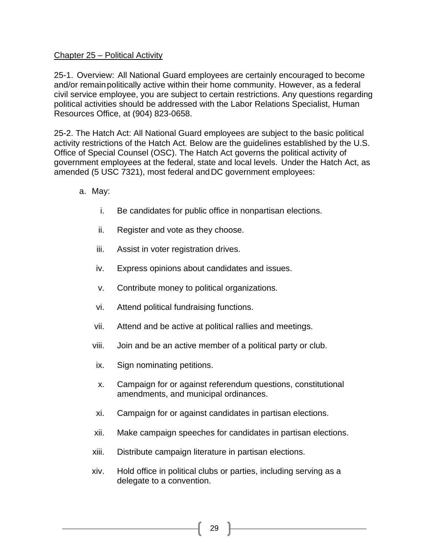#### Chapter 25 – Political Activity

25-1. Overview: All National Guard employees are certainly encouraged to become and/or remainpolitically active within their home community. However, as a federal civil service employee, you are subject to certain restrictions. Any questions regarding political activities should be addressed with the Labor Relations Specialist, Human Resources Office, at (904) 823-0658.

25-2. The Hatch Act: All National Guard employees are subject to the basic political activity restrictions of the Hatch Act. Below are the guidelines established by the U.S. Office of Special Counsel (OSC). The Hatch Act governs the political activity of government employees at the federal, state and local levels. Under the Hatch Act, as amended (5 USC 7321), most federal andDC government employees:

- a. May:
	- i. Be candidates for public office in nonpartisan elections.
	- ii. Register and vote as they choose.
	- iii. Assist in voter registration drives.
	- iv. Express opinions about candidates and issues.
	- v. Contribute money to political organizations.
	- vi. Attend political fundraising functions.
	- vii. Attend and be active at political rallies and meetings.
	- viii. Join and be an active member of a political party or club.
	- ix. Sign nominating petitions.
	- x. Campaign for or against referendum questions, constitutional amendments, and municipal ordinances.
	- xi. Campaign for or against candidates in partisan elections.
	- xii. Make campaign speeches for candidates in partisan elections.
	- xiii. Distribute campaign literature in partisan elections.
	- xiv. Hold office in political clubs or parties, including serving as a delegate to a convention.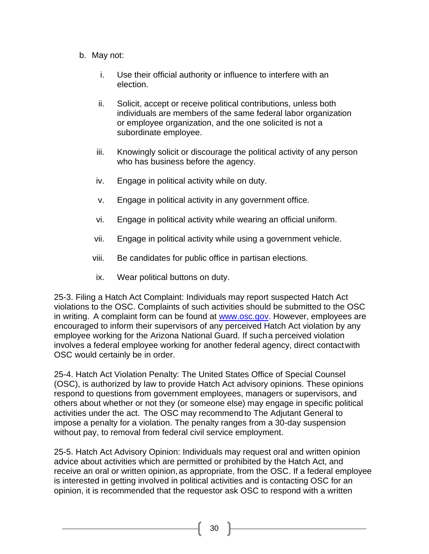- b. May not:
	- i. Use their official authority or influence to interfere with an election.
	- ii. Solicit, accept or receive political contributions, unless both individuals are members of the same federal labor organization or employee organization, and the one solicited is not a subordinate employee.
	- iii. Knowingly solicit or discourage the political activity of any person who has business before the agency.
	- iv. Engage in political activity while on duty.
	- v. Engage in political activity in any government office.
	- vi. Engage in political activity while wearing an official uniform.
	- vii. Engage in political activity while using a government vehicle.
	- viii. Be candidates for public office in partisan elections.
	- ix. Wear political buttons on duty.

25-3. Filing a Hatch Act Complaint: Individuals may report suspected Hatch Act violations to the OSC. Complaints of such activities should be submitted to the OSC in writing. A complaint form can be found at [www.osc.gov.](http://www.osc.gov/) However, employees are encouraged to inform their supervisors of any perceived Hatch Act violation by any employee working for the Arizona National Guard. If sucha perceived violation involves a federal employee working for another federal agency, direct contactwith OSC would certainly be in order.

25-4. Hatch Act Violation Penalty: The United States Office of Special Counsel (OSC), is authorized by law to provide Hatch Act advisory opinions. These opinions respond to questions from government employees, managers or supervisors, and others about whether or not they (or someone else) may engage in specific political activities under the act. The OSC may recommendto The Adjutant General to impose a penalty for a violation. The penalty ranges from a 30-day suspension without pay, to removal from federal civil service employment.

25-5. Hatch Act Advisory Opinion: Individuals may request oral and written opinion advice about activities which are permitted or prohibited by the Hatch Act, and receive an oral or written opinion,as appropriate, from the OSC. If a federal employee is interested in getting involved in political activities and is contacting OSC for an opinion, it is recommended that the requestor ask OSC to respond with a written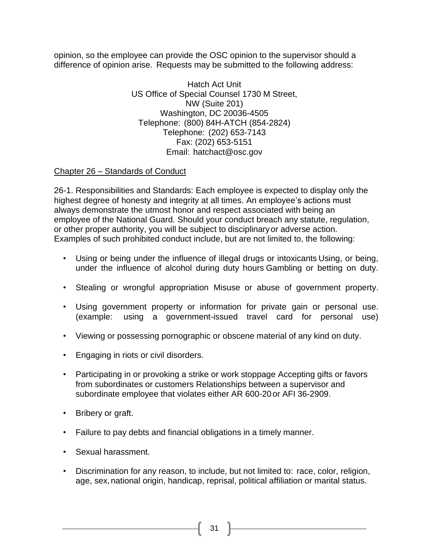opinion, so the employee can provide the OSC opinion to the supervisor should a difference of opinion arise. Requests may be submitted to the following address:

> Hatch Act Unit US Office of Special Counsel 1730 M Street, NW (Suite 201) Washington, DC 20036-4505 Telephone: (800) 84H-ATCH (854-2824) Telephone: (202) 653-7143 Fax: (202) 653-5151 Email: [hatchact@osc.gov](mailto:hatchact@osc.gov)

# Chapter 26 – Standards of Conduct

26-1. Responsibilities and Standards: Each employee is expected to display only the highest degree of honesty and integrity at all times. An employee's actions must always demonstrate the utmost honor and respect associated with being an employee of the National Guard. Should your conduct breach any statute, regulation, or other proper authority, you will be subject to disciplinaryor adverse action. Examples of such prohibited conduct include, but are not limited to, the following:

- Using or being under the influence of illegal drugs or intoxicants Using, or being, under the influence of alcohol during duty hours Gambling or betting on duty.
- Stealing or wrongful appropriation Misuse or abuse of government property.
- Using government property or information for private gain or personal use. (example: using a government-issued travel card for personal use)
- Viewing or possessing pornographic or obscene material of any kind on duty.
- Engaging in riots or civil disorders.
- Participating in or provoking a strike or work stoppage Accepting gifts or favors from subordinates or customers Relationships between a supervisor and subordinate employee that violates either AR 600-20or AFI 36-2909.
- Bribery or graft.
- Failure to pay debts and financial obligations in a timely manner.
- Sexual harassment.
- Discrimination for any reason, to include, but not limited to: race, color, religion, age, sex, national origin, handicap, reprisal, political affiliation or marital status.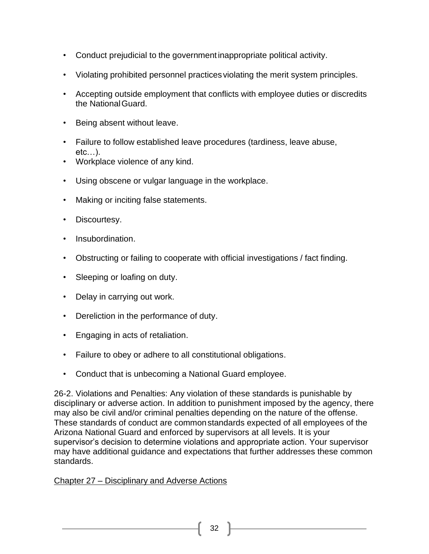- Conduct prejudicial to the governmentinappropriate political activity.
- Violating prohibited personnel practices violating the merit system principles.
- Accepting outside employment that conflicts with employee duties or discredits the NationalGuard.
- Being absent without leave.
- Failure to follow established leave procedures (tardiness, leave abuse, etc…).
- Workplace violence of any kind.
- Using obscene or vulgar language in the workplace.
- Making or inciting false statements.
- Discourtesy.
- Insubordination.
- Obstructing or failing to cooperate with official investigations / fact finding.
- Sleeping or loafing on duty.
- Delay in carrying out work.
- Dereliction in the performance of duty.
- Engaging in acts of retaliation.
- Failure to obey or adhere to all constitutional obligations.
- Conduct that is unbecoming a National Guard employee.

26-2. Violations and Penalties: Any violation of these standards is punishable by disciplinary or adverse action. In addition to punishment imposed by the agency, there may also be civil and/or criminal penalties depending on the nature of the offense. These standards of conduct are commonstandards expected of all employees of the Arizona National Guard and enforced by supervisors at all levels. It is your supervisor's decision to determine violations and appropriate action. Your supervisor may have additional guidance and expectations that further addresses these common standards.

# Chapter 27 – Disciplinary and Adverse Actions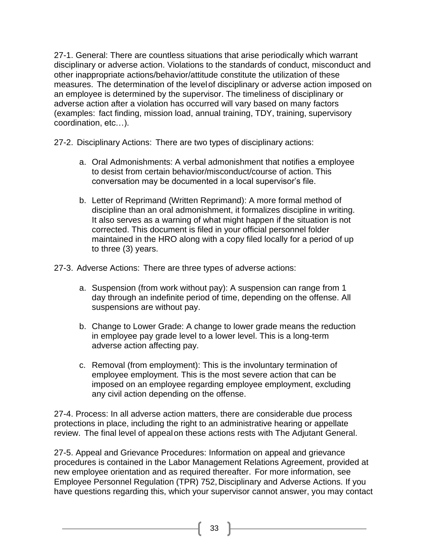27-1. General: There are countless situations that arise periodically which warrant disciplinary or adverse action. Violations to the standards of conduct, misconduct and other inappropriate actions/behavior/attitude constitute the utilization of these measures. The determination of the levelof disciplinary or adverse action imposed on an employee is determined by the supervisor. The timeliness of disciplinary or adverse action after a violation has occurred will vary based on many factors (examples: fact finding, mission load, annual training, TDY, training, supervisory coordination, etc…).

- 27-2. Disciplinary Actions: There are two types of disciplinary actions:
	- a. Oral Admonishments: A verbal admonishment that notifies a employee to desist from certain behavior/misconduct/course of action. This conversation may be documented in a local supervisor's file.
	- b. Letter of Reprimand (Written Reprimand): A more formal method of discipline than an oral admonishment, it formalizes discipline in writing. It also serves as a warning of what might happen if the situation is not corrected. This document is filed in your official personnel folder maintained in the HRO along with a copy filed locally for a period of up to three (3) years.
- 27-3. Adverse Actions: There are three types of adverse actions:
	- a. Suspension (from work without pay): A suspension can range from 1 day through an indefinite period of time, depending on the offense. All suspensions are without pay.
	- b. Change to Lower Grade: A change to lower grade means the reduction in employee pay grade level to a lower level. This is a long-term adverse action affecting pay.
	- c. Removal (from employment): This is the involuntary termination of employee employment. This is the most severe action that can be imposed on an employee regarding employee employment, excluding any civil action depending on the offense.

27-4. Process: In all adverse action matters, there are considerable due process protections in place, including the right to an administrative hearing or appellate review. The final level of appealon these actions rests with The Adjutant General.

27-5. Appeal and Grievance Procedures: Information on appeal and grievance procedures is contained in the Labor Management Relations Agreement, provided at new employee orientation and as required thereafter. For more information, see Employee Personnel Regulation (TPR) 752, Disciplinary and Adverse Actions. If you have questions regarding this, which your supervisor cannot answer, you may contact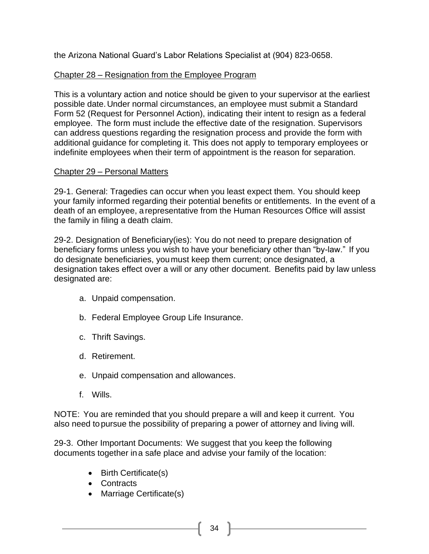the Arizona National Guard's Labor Relations Specialist at (904) 823-0658.

# Chapter 28 – Resignation from the Employee Program

This is a voluntary action and notice should be given to your supervisor at the earliest possible date.Under normal circumstances, an employee must submit a Standard Form 52 (Request for Personnel Action), indicating their intent to resign as a federal employee. The form must include the effective date of the resignation. Supervisors can address questions regarding the resignation process and provide the form with additional guidance for completing it. This does not apply to temporary employees or indefinite employees when their term of appointment is the reason for separation.

# Chapter 29 – Personal Matters

29-1. General: Tragedies can occur when you least expect them. You should keep your family informed regarding their potential benefits or entitlements. In the event of a death of an employee, arepresentative from the Human Resources Office will assist the family in filing a death claim.

29-2. Designation of Beneficiary(ies): You do not need to prepare designation of beneficiary forms unless you wish to have your beneficiary other than "by-law." If you do designate beneficiaries, youmust keep them current; once designated, a designation takes effect over a will or any other document. Benefits paid by law unless designated are:

- a. Unpaid compensation.
- b. Federal Employee Group Life Insurance.
- c. Thrift Savings.
- d. Retirement.
- e. Unpaid compensation and allowances.
- f. Wills.

NOTE: You are reminded that you should prepare a will and keep it current. You also need topursue the possibility of preparing a power of attorney and living will.

29-3. Other Important Documents: We suggest that you keep the following documents together ina safe place and advise your family of the location:

- Birth Certificate(s)
- Contracts
- Marriage Certificate(s)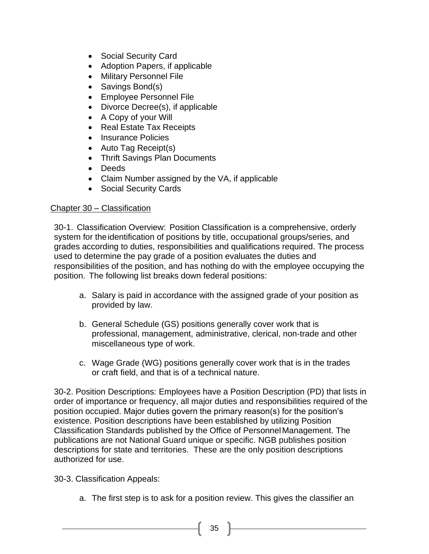- Social Security Card
- Adoption Papers, if applicable
- Military Personnel File
- Savings Bond(s)
- Employee Personnel File
- Divorce Decree(s), if applicable
- A Copy of your Will
- Real Estate Tax Receipts
- Insurance Policies
- Auto Tag Receipt(s)
- Thrift Savings Plan Documents
- Deeds
- Claim Number assigned by the VA, if applicable
- Social Security Cards

#### Chapter 30 – Classification

30-1. Classification Overview: Position Classification is a comprehensive, orderly system for theidentification of positions by title, occupational groups/series, and grades according to duties, responsibilities and qualifications required. The process used to determine the pay grade of a position evaluates the duties and responsibilities of the position, and has nothing do with the employee occupying the position. The following list breaks down federal positions:

- a. Salary is paid in accordance with the assigned grade of your position as provided by law.
- b. General Schedule (GS) positions generally cover work that is professional, management, administrative, clerical, non-trade and other miscellaneous type of work.
- c. Wage Grade (WG) positions generally cover work that is in the trades or craft field, and that is of a technical nature.

30-2. Position Descriptions: Employees have a Position Description (PD) that lists in order of importance or frequency, all major duties and responsibilities required of the position occupied. Major duties govern the primary reason(s) for the position's existence. Position descriptions have been established by utilizing Position Classification Standards published by the Office of PersonnelManagement. The publications are not National Guard unique or specific. NGB publishes position descriptions for state and territories. These are the only position descriptions authorized for use.

- 30-3. Classification Appeals:
	- a. The first step is to ask for a position review. This gives the classifier an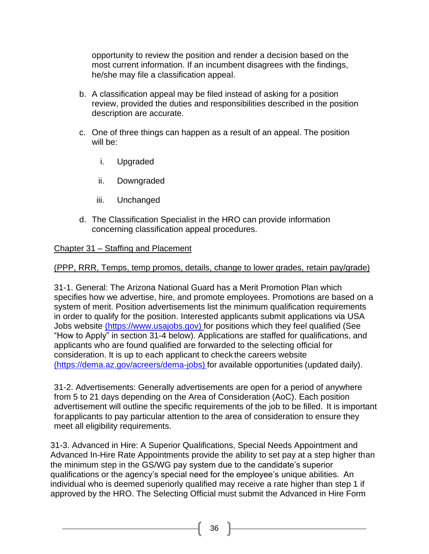opportunity to review the position and render a decision based on the most current information. If an incumbent disagrees with the findings, he/she may file a classification appeal.

- b. A classification appeal may be filed instead of asking for a position review, provided the duties and responsibilities described in the position description are accurate.
- c. One of three things can happen as a result of an appeal. The position will be:
	- i. Upgraded
	- ii. Downgraded
	- iii. Unchanged
- d. The Classification Specialist in the HRO can provide information concerning classification appeal procedures.

# Chapter 31 – Staffing and Placement

# (PPP, RRR, Temps, temp promos, details, change to lower grades, retain pay/grade)

31-1. General: The Arizona National Guard has a Merit Promotion Plan which specifies how we advertise, hire, and promote employees. Promotions are based on a system of merit. Position advertisements list the minimum qualification requirements in order to qualify for the position. Interested applicants submit applications via USA Jobs website [\(https://www.usajobs.gov\) f](file:///C:/Users/1141323225.civ/Desktop/Technician%20Handbooks/(https:/www.usajobs.gov))or positions which they feel qualified (See "How to Apply" in section 31-4 below). Applications are staffed for qualifications, and applicants who are found qualified are forwarded to the selecting official for consideration. It is up to each applicant to check the careers website [\(https://dema.az.gov/acreers/dema-jobs\)](file:///C:/Users/1141323225.civ/Desktop/Technician%20Handbooks/(https:/dema.az.gov/acreers/dema-jobs)) for available opportunities (updated daily).

31-2. Advertisements: Generally advertisements are open for a period of anywhere from 5 to 21 days depending on the Area of Consideration (AoC). Each position advertisement will outline the specific requirements of the job to be filled. It is important forapplicants to pay particular attention to the area of consideration to ensure they meet all eligibility requirements.

31-3. Advanced in Hire: A Superior Qualifications, Special Needs Appointment and Advanced In-Hire Rate Appointments provide the ability to set pay at a step higher than the minimum step in the GS/WG pay system due to the candidate's superior qualifications or the agency's special need for the employee's unique abilities. An individual who is deemed superiorly qualified may receive a rate higher than step 1 if approved by the HRO. The Selecting Official must submit the Advanced in Hire Form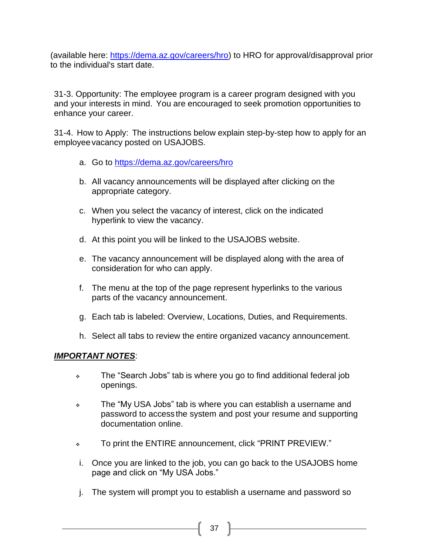(available here: [https://dema.az.gov/careers/hro\)](https://dema.az.gov/careers/hro) to HRO for approval/disapproval prior to the individual's start date.

31-3. Opportunity: The employee program is a career program designed with you and your interests in mind. You are encouraged to seek promotion opportunities to enhance your career.

31-4. How to Apply: The instructions below explain step-by-step how to apply for an employeevacancy posted on USAJOBS.

- a. Go to<https://dema.az.gov/careers/hro>
- b. All vacancy announcements will be displayed after clicking on the appropriate category.
- c. When you select the vacancy of interest, click on the indicated hyperlink to view the vacancy.
- d. At this point you will be linked to the USAJOBS website.
- e. The vacancy announcement will be displayed along with the area of consideration for who can apply.
- f. The menu at the top of the page represent hyperlinks to the various parts of the vacancy announcement.
- g. Each tab is labeled: Overview, Locations, Duties, and Requirements.
- h. Select all tabs to review the entire organized vacancy announcement.

#### *IMPORTANT NOTES*:

- ❖ The "Search Jobs" tab is where you go to find additional federal job openings.
- ❖ The "My USA Jobs" tab is where you can establish a username and password to access the system and post your resume and supporting documentation online.
- ❖ To print the ENTIRE announcement, click "PRINT PREVIEW."
- i. Once you are linked to the job, you can go back to the USAJOBS home page and click on "My USA Jobs."
- j. The system will prompt you to establish a username and password so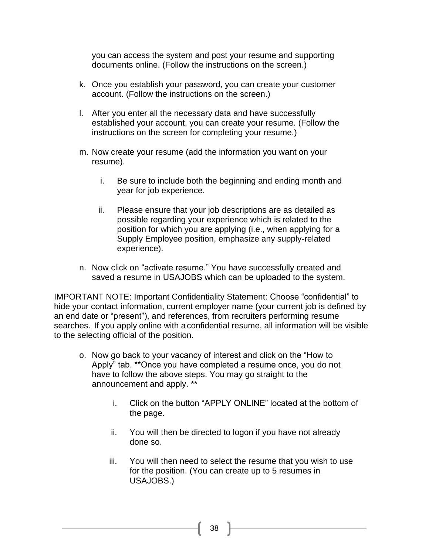you can access the system and post your resume and supporting documents online. (Follow the instructions on the screen.)

- k. Once you establish your password, you can create your customer account. (Follow the instructions on the screen.)
- l. After you enter all the necessary data and have successfully established your account, you can create your resume. (Follow the instructions on the screen for completing your resume.)
- m. Now create your resume (add the information you want on your resume).
	- i. Be sure to include both the beginning and ending month and year for job experience.
	- ii. Please ensure that your job descriptions are as detailed as possible regarding your experience which is related to the position for which you are applying (i.e., when applying for a Supply Employee position, emphasize any supply-related experience).
- n. Now click on "activate resume." You have successfully created and saved a resume in USAJOBS which can be uploaded to the system.

IMPORTANT NOTE: Important Confidentiality Statement: Choose "confidential" to hide your contact information, current employer name (your current job is defined by an end date or "present"), and references, from recruiters performing resume searches. If you apply online with aconfidential resume, all information will be visible to the selecting official of the position.

- o. Now go back to your vacancy of interest and click on the "How to Apply" tab. \*\*Once you have completed a resume once, you do not have to follow the above steps. You may go straight to the announcement and apply. \*\*
	- i. Click on the button "APPLY ONLINE" located at the bottom of the page.
	- ii. You will then be directed to logon if you have not already done so.
	- iii. You will then need to select the resume that you wish to use for the position. (You can create up to 5 resumes in USAJOBS.)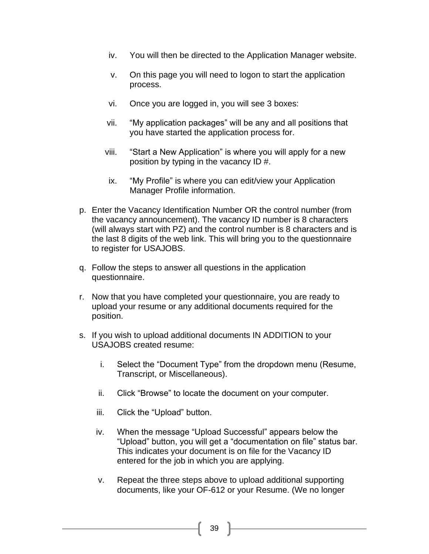- iv. You will then be directed to the Application Manager website.
- v. On this page you will need to logon to start the application process.
- vi. Once you are logged in, you will see 3 boxes:
- vii. "My application packages" will be any and all positions that you have started the application process for.
- viii. "Start a New Application" is where you will apply for a new position by typing in the vacancy ID #.
- ix. "My Profile" is where you can edit/view your Application Manager Profile information.
- p. Enter the Vacancy Identification Number OR the control number (from the vacancy announcement). The vacancy ID number is 8 characters (will always start with PZ) and the control number is 8 characters and is the last 8 digits of the web link. This will bring you to the questionnaire to register for USAJOBS.
- q. Follow the steps to answer all questions in the application questionnaire.
- r. Now that you have completed your questionnaire, you are ready to upload your resume or any additional documents required for the position.
- s. If you wish to upload additional documents IN ADDITION to your USAJOBS created resume:
	- i. Select the "Document Type" from the dropdown menu (Resume, Transcript, or Miscellaneous).
	- ii. Click "Browse" to locate the document on your computer.
	- iii. Click the "Upload" button.
	- iv. When the message "Upload Successful" appears below the "Upload" button, you will get a "documentation on file" status bar. This indicates your document is on file for the Vacancy ID entered for the job in which you are applying.
	- v. Repeat the three steps above to upload additional supporting documents, like your OF-612 or your Resume. (We no longer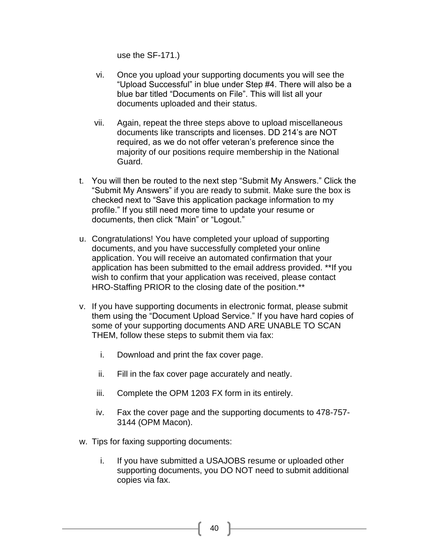use the SF-171.)

- vi. Once you upload your supporting documents you will see the "Upload Successful" in blue under Step #4. There will also be a blue bar titled "Documents on File". This will list all your documents uploaded and their status.
- vii. Again, repeat the three steps above to upload miscellaneous documents like transcripts and licenses. DD 214's are NOT required, as we do not offer veteran's preference since the majority of our positions require membership in the National Guard.
- t. You will then be routed to the next step "Submit My Answers." Click the "Submit My Answers" if you are ready to submit. Make sure the box is checked next to "Save this application package information to my profile." If you still need more time to update your resume or documents, then click "Main" or "Logout."
- u. Congratulations! You have completed your upload of supporting documents, and you have successfully completed your online application. You will receive an automated confirmation that your application has been submitted to the email address provided. \*\*If you wish to confirm that your application was received, please contact HRO-Staffing PRIOR to the closing date of the position.\*\*
- v. If you have supporting documents in electronic format, please submit them using the "Document Upload Service." If you have hard copies of some of your supporting documents AND ARE UNABLE TO SCAN THEM, follow these steps to submit them via fax:
	- i. Download and print the fax cover page.
	- ii. Fill in the fax cover page accurately and neatly.
	- iii. Complete the OPM 1203 FX form in its entirely.
	- iv. Fax the cover page and the supporting documents to 478-757- 3144 (OPM Macon).
- w. Tips for faxing supporting documents:
	- i. If you have submitted a USAJOBS resume or uploaded other supporting documents, you DO NOT need to submit additional copies via fax.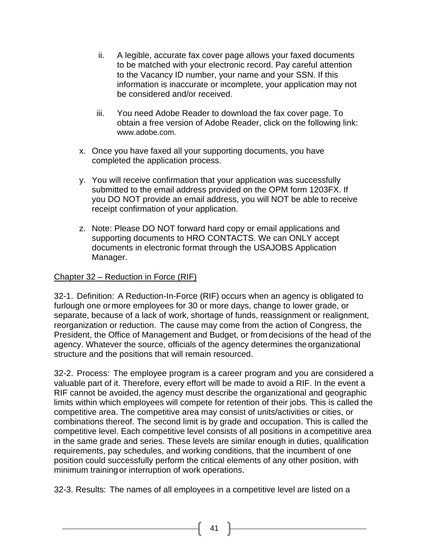- ii. A legible, accurate fax cover page allows your faxed documents to be matched with your electronic record. Pay careful attention to the Vacancy ID number, your name and your SSN. If this information is inaccurate or incomplete, your application may not be considered and/or received.
- iii. You need Adobe Reader to download the fax cover page. To obtain a free version of Adobe Reader, click on the following link: [www.adobe.com.](http://www.adobe.com./)
- x. Once you have faxed all your supporting documents, you have completed the application process.
- y. You will receive confirmation that your application was successfully submitted to the email address provided on the OPM form 1203FX. If you DO NOT provide an email address, you will NOT be able to receive receipt confirmation of your application.
- z. Note: Please DO NOT forward hard copy or email applications and supporting documents to HRO CONTACTS. We can ONLY accept documents in electronic format through the USAJOBS Application Manager.

# Chapter 32 – Reduction in Force (RIF)

32-1. Definition: A Reduction-In-Force (RIF) occurs when an agency is obligated to furlough one ormore employees for 30 or more days, change to lower grade, or separate, because of a lack of work, shortage of funds, reassignment or realignment, reorganization or reduction. The cause may come from the action of Congress, the President, the Office of Management and Budget, or from decisions of the head of the agency. Whatever the source, officials of the agency determines the organizational structure and the positions that will remain resourced.

32-2. Process: The employee program is a career program and you are considered a valuable part of it. Therefore, every effort will be made to avoid a RIF. In the event a RIF cannot be avoided, the agency must describe the organizational and geographic limits within which employees will compete for retention of their jobs. This is called the competitive area. The competitive area may consist of units/activities or cities, or combinations thereof. The second limit is by grade and occupation. This is called the competitive level. Each competitive level consists of all positions in acompetitive area in the same grade and series. These levels are similar enough in duties, qualification requirements, pay schedules, and working conditions, that the incumbent of one position could successfully perform the critical elements of any other position, with minimum trainingor interruption of work operations.

32-3. Results: The names of all employees in a competitive level are listed on a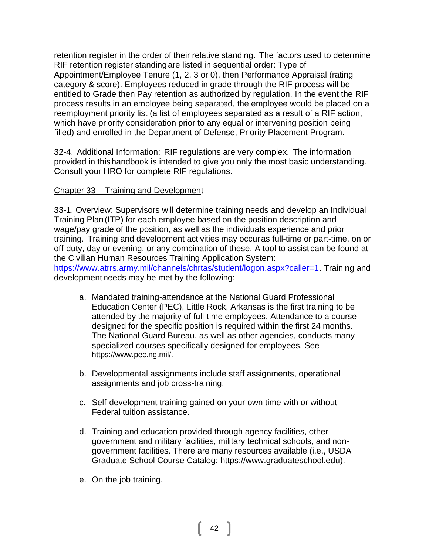retention register in the order of their relative standing. The factors used to determine RIF retention register standing are listed in sequential order: Type of Appointment/Employee Tenure (1, 2, 3 or 0), then Performance Appraisal (rating category & score). Employees reduced in grade through the RIF process will be entitled to Grade then Pay retention as authorized by regulation. In the event the RIF process results in an employee being separated, the employee would be placed on a reemployment priority list (a list of employees separated as a result of a RIF action, which have priority consideration prior to any equal or intervening position being filled) and enrolled in the Department of Defense, Priority Placement Program.

32-4. Additional Information: RIF regulations are very complex. The information provided in thishandbook is intended to give you only the most basic understanding. Consult your HRO for complete RIF regulations.

#### Chapter 33 – Training and Development

33-1. Overview: Supervisors will determine training needs and develop an Individual Training Plan(ITP) for each employee based on the position description and wage/pay grade of the position, as well as the individuals experience and prior training. Training and development activities may occuras full-time or part-time, on or off-duty, day or evening, or any combination of these. A tool to assist can be found at the Civilian Human Resources Training Application System: [https://www.atrrs.army.mil/channels/chrtas/student/logon.aspx?caller=1.](https://www.atrrs.army.mil/channels/chrtas/student/logon.aspx?caller=1) Training and developmentneeds may be met by the following:

- a. Mandated training-attendance at the National Guard Professional Education Center (PEC), Little Rock, Arkansas is the first training to be attended by the majority of full-time employees. Attendance to a course designed for the specific position is required within the first 24 months. The National Guard Bureau, as well as other agencies, conducts many specialized courses specifically designed for employees. See [https://www.pec.ng.mil/.](https://www.pec.ng.mil/)
- b. Developmental assignments include staff assignments, operational assignments and job cross-training.
- c. Self-development training gained on your own time with or without Federal tuition assistance.
- d. Training and education provided through agency facilities, other government and military facilities, military technical schools, and nongovernment facilities. There are many resources available (i.e., USDA Graduate School Course Catalog: https://www.graduateschool.edu).
- e. On the job training.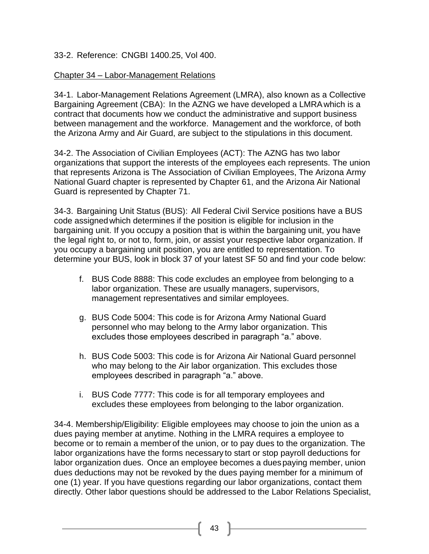# 33-2. Reference: CNGBI 1400.25, Vol 400.

#### Chapter 34 – Labor-Management Relations

34-1. Labor-Management Relations Agreement (LMRA), also known as a Collective Bargaining Agreement (CBA): In the AZNG we have developed a LMRAwhich is a contract that documents how we conduct the administrative and support business between management and the workforce. Management and the workforce, of both the Arizona Army and Air Guard, are subject to the stipulations in this document.

34-2. The Association of Civilian Employees (ACT): The AZNG has two labor organizations that support the interests of the employees each represents. The union that represents Arizona is The Association of Civilian Employees, The Arizona Army National Guard chapter is represented by Chapter 61, and the Arizona Air National Guard is represented by Chapter 71.

34-3. Bargaining Unit Status (BUS): All Federal Civil Service positions have a BUS code assignedwhich determines if the position is eligible for inclusion in the bargaining unit. If you occupy a position that is within the bargaining unit, you have the legal right to, or not to, form, join, or assist your respective labor organization. If you occupy a bargaining unit position, you are entitled to representation. To determine your BUS, look in block 37 of your latest SF 50 and find your code below:

- f. BUS Code 8888: This code excludes an employee from belonging to a labor organization. These are usually managers, supervisors, management representatives and similar employees.
- g. BUS Code 5004: This code is for Arizona Army National Guard personnel who may belong to the Army labor organization. This excludes those employees described in paragraph "a." above.
- h. BUS Code 5003: This code is for Arizona Air National Guard personnel who may belong to the Air labor organization. This excludes those employees described in paragraph "a." above.
- i. BUS Code 7777: This code is for all temporary employees and excludes these employees from belonging to the labor organization.

34-4. Membership/Eligibility: Eligible employees may choose to join the union as a dues paying member at anytime. Nothing in the LMRA requires a employee to become or to remain a member of the union, or to pay dues to the organization. The labor organizations have the forms necessary to start or stop payroll deductions for labor organization dues. Once an employee becomes a duespaying member, union dues deductions may not be revoked by the dues paying member for a minimum of one (1) year. If you have questions regarding our labor organizations, contact them directly. Other labor questions should be addressed to the Labor Relations Specialist,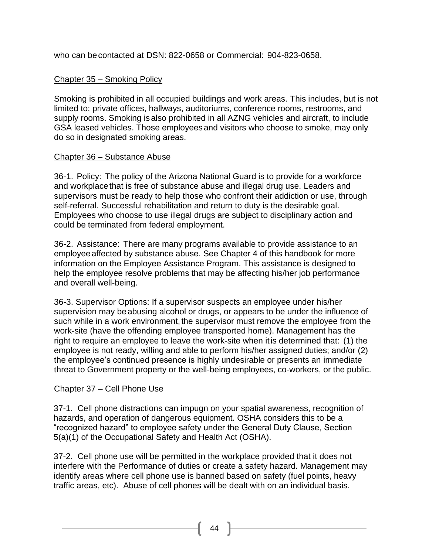who can becontacted at DSN: 822-0658 or Commercial: 904-823-0658.

# Chapter 35 – Smoking Policy

Smoking is prohibited in all occupied buildings and work areas. This includes, but is not limited to; private offices, hallways, auditoriums, conference rooms, restrooms, and supply rooms. Smoking isalso prohibited in all AZNG vehicles and aircraft, to include GSA leased vehicles. Those employeesand visitors who choose to smoke, may only do so in designated smoking areas.

#### Chapter 36 – Substance Abuse

36-1. Policy: The policy of the Arizona National Guard is to provide for a workforce and workplacethat is free of substance abuse and illegal drug use. Leaders and supervisors must be ready to help those who confront their addiction or use, through self-referral. Successful rehabilitation and return to duty is the desirable goal. Employees who choose to use illegal drugs are subject to disciplinary action and could be terminated from federal employment.

36-2. Assistance: There are many programs available to provide assistance to an employeeaffected by substance abuse. See Chapter 4 of this handbook for more information on the Employee Assistance Program. This assistance is designed to help the employee resolve problems that may be affecting his/her job performance and overall well-being.

36-3. Supervisor Options: If a supervisor suspects an employee under his/her supervision may beabusing alcohol or drugs, or appears to be under the influence of such while in a work environment, the supervisor must remove the employee from the work-site (have the offending employee transported home). Management has the right to require an employee to leave the work-site when itis determined that: (1) the employee is not ready, willing and able to perform his/her assigned duties; and/or (2) the employee's continued presence is highly undesirable or presents an immediate threat to Government property or the well-being employees, co-workers, or the public.

# Chapter 37 – Cell Phone Use

37-1. Cell phone distractions can impugn on your spatial awareness, recognition of hazards, and operation of dangerous equipment. OSHA considers this to be a "recognized hazard" to employee safety under the General Duty Clause, Section 5(a)(1) of the Occupational Safety and Health Act (OSHA).

37-2. Cell phone use will be permitted in the workplace provided that it does not interfere with the Performance of duties or create a safety hazard. Management may identify areas where cell phone use is banned based on safety (fuel points, heavy traffic areas, etc). Abuse of cell phones will be dealt with on an individual basis.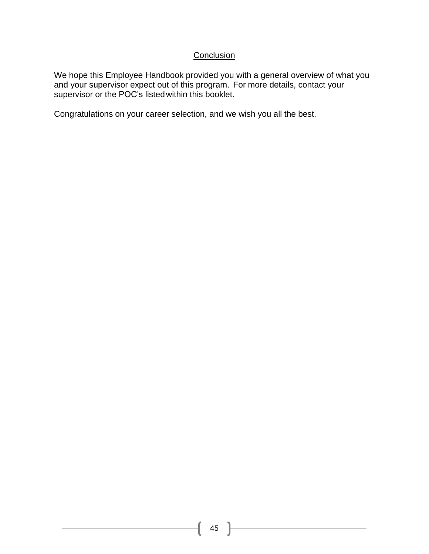# **Conclusion**

We hope this Employee Handbook provided you with a general overview of what you and your supervisor expect out of this program. For more details, contact your supervisor or the POC's listedwithin this booklet.

Congratulations on your career selection, and we wish you all the best.